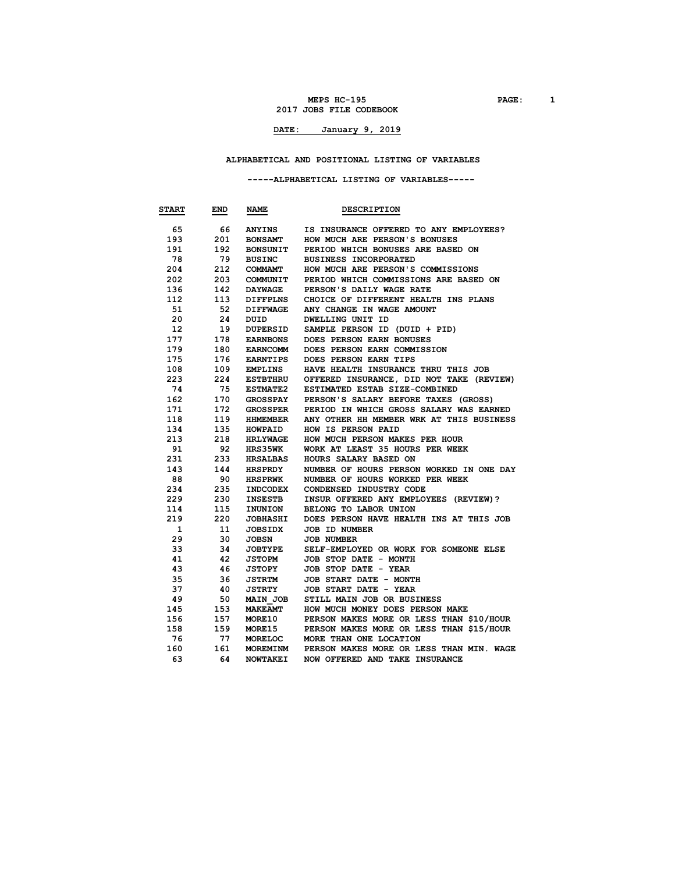**MEPS HC-195 PAGE: 1 2017 JOBS FILE CODEBOOK**

# **DATE: January 9, 2019**

### **ALPHABETICAL AND POSITIONAL LISTING OF VARIABLES**

### **-----ALPHABETICAL LISTING OF VARIABLES-----**

| <b>START</b>     | END | <b>NAME</b>     | <b>DESCRIPTION</b>                       |
|------------------|-----|-----------------|------------------------------------------|
| 65               | 66  | <b>ANYINS</b>   | IS INSURANCE OFFERED TO ANY EMPLOYEES?   |
| 193              | 201 | <b>BONSAMT</b>  | HOW MUCH ARE PERSON'S BONUSES            |
| 191              | 192 | <b>BONSUNIT</b> | PERIOD WHICH BONUSES ARE BASED ON        |
| 78               | 79  | <b>BUSINC</b>   | <b>BUSINESS INCORPORATED</b>             |
| 204              | 212 | COMMAMT         | HOW MUCH ARE PERSON'S COMMISSIONS        |
| 202              | 203 | COMMUNIT        | PERIOD WHICH COMMISSIONS ARE BASED ON    |
| 136              | 142 | <b>DAYWAGE</b>  | PERSON'S DAILY WAGE RATE                 |
| 112              | 113 | DIFFPLNS        | CHOICE OF DIFFERENT HEALTH INS PLANS     |
| 51               | 52  | <b>DIFFWAGE</b> | ANY CHANGE IN WAGE AMOUNT                |
| 20               | 24  | DUID            | DWELLING UNIT ID                         |
| 12 <sup>12</sup> | 19  | DUPERSID        | SAMPLE PERSON ID (DUID + PID)            |
| 177              | 178 | <b>EARNBONS</b> | DOES PERSON EARN BONUSES                 |
| 179              | 180 | <b>EARNCOMM</b> | DOES PERSON EARN COMMISSION              |
| 175              | 176 | <b>EARNTIPS</b> | DOES PERSON EARN TIPS                    |
| 108              | 109 | <b>EMPLINS</b>  | HAVE HEALTH INSURANCE THRU THIS JOB      |
| 223              | 224 | <b>ESTBTHRU</b> | OFFERED INSURANCE, DID NOT TAKE (REVIEW) |
| 74               | 75  | <b>ESTMATE2</b> | ESTIMATED ESTAB SIZE-COMBINED            |
| 162              | 170 | <b>GROSSPAY</b> | PERSON'S SALARY BEFORE TAXES (GROSS)     |
| 171              | 172 | GROSSPER        | PERIOD IN WHICH GROSS SALARY WAS EARNED  |
| 118              | 119 | <b>HHMEMBER</b> | ANY OTHER HH MEMBER WRK AT THIS BUSINESS |
| 134              | 135 | HOWPAID         | HOW IS PERSON PAID                       |
| 213              | 218 | <b>HRLYWAGE</b> | HOW MUCH PERSON MAKES PER HOUR           |
| 91               | 92  | <b>HRS35WK</b>  | WORK AT LEAST 35 HOURS PER WEEK          |
| 231              | 233 | HRSALBAS        | HOURS SALARY BASED ON                    |
| 143              | 144 | HRSPRDY         | NUMBER OF HOURS PERSON WORKED IN ONE DAY |
| 88               | 90  | <b>HRSPRWK</b>  | NUMBER OF HOURS WORKED PER WEEK          |
| 234              | 235 | INDCODEX        | CONDENSED INDUSTRY CODE                  |
| 229              | 230 | INSESTB         | INSUR OFFERED ANY EMPLOYEES (REVIEW)?    |
| 114              | 115 | INUNION         | BELONG TO LABOR UNION                    |
| 219              | 220 | <b>JOBHASHI</b> | DOES PERSON HAVE HEALTH INS AT THIS JOB  |
| 1                | 11  | <b>JOBSIDX</b>  | <b>JOB ID NUMBER</b>                     |
| 29               | 30  | JOBSN           | <b>JOB NUMBER</b>                        |
| 33               | 34  | <b>JOBTYPE</b>  | SELF-EMPLOYED OR WORK FOR SOMEONE ELSE   |
| 41               | 42  | <b>JSTOPM</b>   | JOB STOP DATE - MONTH                    |
| 43               | 46  | <b>JSTOPY</b>   | JOB STOP DATE - YEAR                     |
| 35               | 36  | <b>JSTRTM</b>   | JOB START DATE - MONTH                   |
| 37               | 40  | <b>JSTRTY</b>   | JOB START DATE - YEAR                    |
| 49               | 50  | MAIN JOB        | STILL MAIN JOB OR BUSINESS               |
| 145              | 153 | <b>MAKEAMT</b>  | HOW MUCH MONEY DOES PERSON MAKE          |
| 156              | 157 | <b>MORE10</b>   | PERSON MAKES MORE OR LESS THAN \$10/HOUR |
| 158              | 159 | <b>MORE15</b>   | PERSON MAKES MORE OR LESS THAN \$15/HOUR |
| 76               | -77 | <b>MORELOC</b>  | MORE THAN ONE LOCATION                   |
| 160              | 161 | <b>MOREMINM</b> | PERSON MAKES MORE OR LESS THAN MIN. WAGE |
| 63               | 64  | <b>NOWTAKEI</b> | NOW OFFERED AND TAKE INSURANCE           |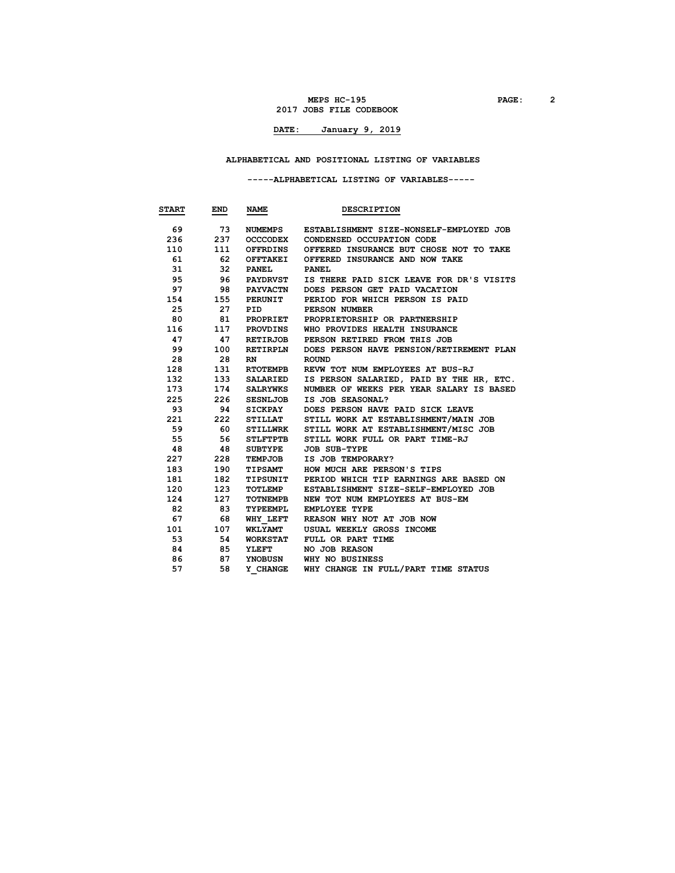#### **MEPS HC-195 PAGE: 2 2017 JOBS FILE CODEBOOK**

# **DATE: January 9, 2019**

### **ALPHABETICAL AND POSITIONAL LISTING OF VARIABLES**

### **-----ALPHABETICAL LISTING OF VARIABLES-----**

| <b>START</b> | END | <b>NAME</b>     | <b>DESCRIPTION</b>                       |
|--------------|-----|-----------------|------------------------------------------|
| 69           | 73  | NUMEMPS         | ESTABLISHMENT SIZE-NONSELF-EMPLOYED JOB  |
| 236          | 237 | <b>OCCCODEX</b> | CONDENSED OCCUPATION CODE                |
| 110          | 111 | OFFRDINS        | OFFERED INSURANCE BUT CHOSE NOT TO TAKE  |
| 61           | 62  | <b>OFFTAKEI</b> | OFFERED INSURANCE AND NOW TAKE           |
| 31           | 32  | <b>PANEL</b>    | <b>PANEL</b>                             |
| 95           | 96  | <b>PAYDRVST</b> | IS THERE PAID SICK LEAVE FOR DR'S VISITS |
| 97           | 98  | PAYVACTN        | DOES PERSON GET PAID VACATION            |
| 154          | 155 | <b>PERUNIT</b>  | PERIOD FOR WHICH PERSON IS PAID          |
| 25           | 27  | PID             | PERSON NUMBER                            |
| 80           | 81  | PROPRIET        | PROPRIETORSHIP OR PARTNERSHIP            |
| 116          | 117 | PROVDINS        | WHO PROVIDES HEALTH INSURANCE            |
| 47           | 47  | <b>RETIRJOB</b> | PERSON RETIRED FROM THIS JOB             |
| 99           | 100 | RETIRPLN        | DOES PERSON HAVE PENSION/RETIREMENT PLAN |
| 28           | 28  | RN              | <b>ROUND</b>                             |
| 128          | 131 | <b>RTOTEMPB</b> | REVW TOT NUM EMPLOYEES AT BUS-RJ         |
| 132          | 133 | <b>SALARIED</b> | IS PERSON SALARIED, PAID BY THE HR, ETC. |
| 173          | 174 | <b>SALRYWKS</b> | NUMBER OF WEEKS PER YEAR SALARY IS BASED |
| 225          | 226 | <b>SESNLJOB</b> | IS JOB SEASONAL?                         |
| 93           | 94  | <b>SICKPAY</b>  | DOES PERSON HAVE PAID SICK LEAVE         |
| 221          | 222 | STILLAT         | STILL WORK AT ESTABLISHMENT/MAIN JOB     |
| 59           | 60  | STILLWRK        | STILL WORK AT ESTABLISHMENT/MISC JOB     |
| 55           | 56  | <b>STLFTPTB</b> | STILL WORK FULL OR PART TIME-RJ          |
| 48           | 48  | <b>SUBTYPE</b>  | <b>JOB SUB-TYPE</b>                      |
| 227          | 228 | TEMPJOB         | IS JOB TEMPORARY?                        |
| 183          | 190 | <b>TIPSAMT</b>  | HOW MUCH ARE PERSON'S TIPS               |
| 181          | 182 | TIPSUNIT        | PERIOD WHICH TIP EARNINGS ARE BASED ON   |
| 120          | 123 | TOTLEMP         | ESTABLISHMENT SIZE-SELF-EMPLOYED JOB     |
| 124          | 127 | TOTNEMPB        | NEW TOT NUM EMPLOYEES AT BUS-EM          |
| 82           | 83  | TYPEEMPL        | <b>EMPLOYEE TYPE</b>                     |
| 67           | 68  | WHY LEFT        | REASON WHY NOT AT JOB NOW                |
| 101          | 107 | <b>WKLYAMT</b>  | USUAL WEEKLY GROSS INCOME                |
| 53           | 54  | <b>WORKSTAT</b> | FULL OR PART TIME                        |
| 84           | 85  | <b>YLEFT</b>    | NO JOB REASON                            |
| 86           | 87  | YNOBUSN         | WHY NO BUSINESS                          |
| 57           | 58  | Y CHANGE        | WHY CHANGE IN FULL/PART TIME STATUS      |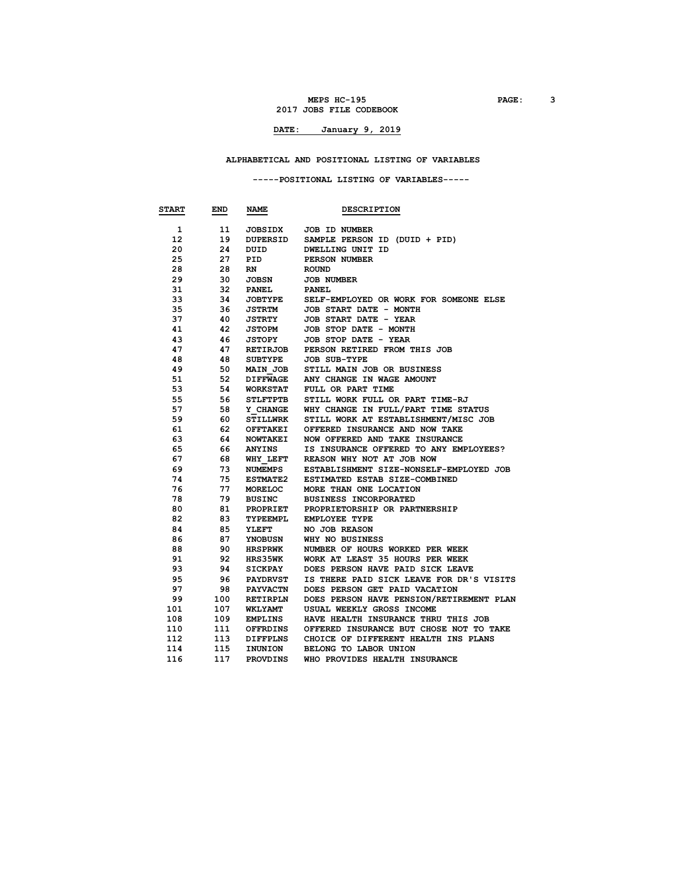#### **MEPS HC-195 PAGE: 3 2017 JOBS FILE CODEBOOK**

# **DATE: January 9, 2019**

### **ALPHABETICAL AND POSITIONAL LISTING OF VARIABLES**

### **-----POSITIONAL LISTING OF VARIABLES-----**

| <b>START</b> | END | NAME                               | <b>DESCRIPTION</b>                       |
|--------------|-----|------------------------------------|------------------------------------------|
| 1            | 11  | <b>JOBSIDX</b>                     | <b>JOB ID NUMBER</b>                     |
| 12           | 19  | DUPERSID                           | SAMPLE PERSON ID (DUID + PID)            |
| 20           | 24  | DUID                               | DWELLING UNIT ID                         |
| 25           | 27  | PID                                | PERSON NUMBER                            |
| 28           | 28  | RN                                 | <b>ROUND</b>                             |
| 29           | 30  | JOBSN                              | <b>JOB NUMBER</b>                        |
| 31           | 32  | <b>PANEL</b>                       | <b>PANEL</b>                             |
| 33           | 34  | <b>JOBTYPE</b>                     | SELF-EMPLOYED OR WORK FOR SOMEONE ELSE   |
| 35           | 36  | <b>JSTRTM</b>                      | JOB START DATE - MONTH                   |
| 37           | 40  | <b>JSTRTY</b>                      | JOB START DATE - YEAR                    |
| 41           | 42  | <b>JSTOPM</b>                      | JOB STOP DATE - MONTH                    |
| 43           | 46  | JSTOPY                             | JOB STOP DATE - YEAR                     |
| 47           | 47  | <b>RETIRJOB</b>                    | PERSON RETIRED FROM THIS JOB             |
| 48           | 48  | <b>SUBTYPE</b>                     | <b>JOB SUB-TYPE</b>                      |
| 49           | 50  |                                    | STILL MAIN JOB OR BUSINESS               |
| 51           | 52  | <b>MAIN JOB</b><br><b>DIFFWAGE</b> | ANY CHANGE IN WAGE AMOUNT                |
| 53           | 54  | <b>WORKSTAT</b>                    | FULL OR PART TIME                        |
| 55           | 56  | <b>STLFTPTB</b>                    | STILL WORK FULL OR PART TIME-RJ          |
| 57           | 58  |                                    | WHY CHANGE IN FULL/PART TIME STATUS      |
|              |     | <b>Y CHANGE</b>                    |                                          |
| 59           | 60  | <b>STILLWRK</b>                    | STILL WORK AT ESTABLISHMENT/MISC JOB     |
| 61           | 62  | <b>OFFTAKEI</b>                    | OFFERED INSURANCE AND NOW TAKE           |
| 63           | 64  | <b>NOWTAKEI</b>                    | NOW OFFERED AND TAKE INSURANCE           |
| 65           | 66  | ANYINS                             | IS INSURANCE OFFERED TO ANY EMPLOYEES?   |
| 67           | 68  | WHY LEFT                           | REASON WHY NOT AT JOB NOW                |
| 69           | 73  | NUMEMPS                            | ESTABLISHMENT SIZE-NONSELF-EMPLOYED JOB  |
| 74           | 75  | <b>ESTMATE2</b>                    | ESTIMATED ESTAB SIZE-COMBINED            |
| 76           | 77  | <b>MORELOC</b>                     | MORE THAN ONE LOCATION                   |
| 78           | 79  | <b>BUSINC</b>                      | <b>BUSINESS INCORPORATED</b>             |
| 80           | 81  | <b>PROPRIET</b>                    | PROPRIETORSHIP OR PARTNERSHIP            |
| 82           | 83  | TYPEEMPL                           | <b>EMPLOYEE TYPE</b>                     |
| 84           | 85  | <b>YLEFT</b>                       | NO JOB REASON                            |
| 86           | 87  | YNOBUSN                            | WHY NO BUSINESS                          |
| 88           | 90  | <b>HRSPRWK</b>                     | NUMBER OF HOURS WORKED PER WEEK          |
| 91           | 92  | <b>HRS35WK</b>                     | WORK AT LEAST 35 HOURS PER WEEK          |
| 93           | 94  | SICKPAY                            | DOES PERSON HAVE PAID SICK LEAVE         |
| 95           | 96  | <b>PAYDRVST</b>                    | IS THERE PAID SICK LEAVE FOR DR'S VISITS |
| 97           | 98  | <b>PAYVACTN</b>                    | DOES PERSON GET PAID VACATION            |
| 99           | 100 | <b>RETIRPLN</b>                    | DOES PERSON HAVE PENSION/RETIREMENT PLAN |
| 101          | 107 | <b>WKLYAMT</b>                     | USUAL WEEKLY GROSS INCOME                |
| 108          | 109 | <b>EMPLINS</b>                     | HAVE HEALTH INSURANCE THRU THIS JOB      |
| 110          | 111 | OFFRDINS                           | OFFERED INSURANCE BUT CHOSE NOT TO TAKE  |
| 112          | 113 | DIFFPLNS                           | CHOICE OF DIFFERENT HEALTH INS PLANS     |
| 114          | 115 | INUNION                            | BELONG TO LABOR UNION                    |
| 116          | 117 | <b>PROVDINS</b>                    | WHO PROVIDES HEALTH INSURANCE            |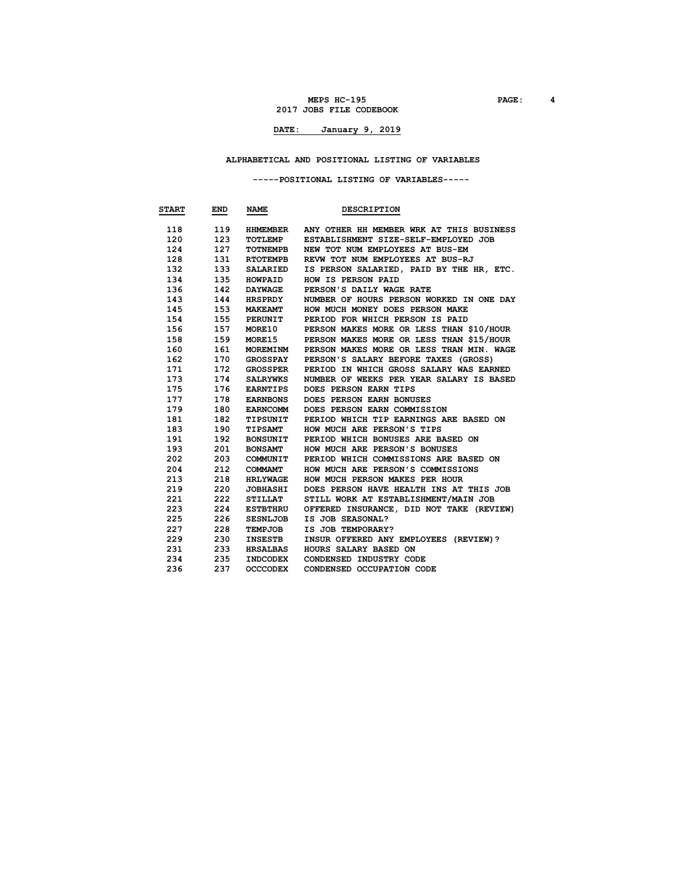#### **MEPS HC-195 PAGE: 4 2017 JOBS FILE CODEBOOK**

# **DATE: January 9, 2019**

### **ALPHABETICAL AND POSITIONAL LISTING OF VARIABLES**

### **-----POSITIONAL LISTING OF VARIABLES-----**

| <b>START</b> | END | <b>NAME</b>     | <b>DESCRIPTION</b>                       |
|--------------|-----|-----------------|------------------------------------------|
| 118          | 119 | HHMEMBER        | ANY OTHER HH MEMBER WRK AT THIS BUSINESS |
| 120          | 123 | TOTLEMP         | ESTABLISHMENT SIZE-SELF-EMPLOYED JOB     |
| 124          | 127 | TOTNEMPB        | NEW TOT NUM EMPLOYEES AT BUS-EM          |
| 128          | 131 | <b>RTOTEMPB</b> | REVW TOT NUM EMPLOYEES AT BUS-RJ         |
| 132          | 133 | <b>SALARIED</b> | IS PERSON SALARIED, PAID BY THE HR, ETC. |
| 134          | 135 | <b>HOWPAID</b>  | HOW IS PERSON PAID                       |
| 136          | 142 | <b>DAYWAGE</b>  | PERSON'S DAILY WAGE RATE                 |
| 143          | 144 | <b>HRSPRDY</b>  | NUMBER OF HOURS PERSON WORKED IN ONE DAY |
| 145          | 153 | <b>MAKEAMT</b>  | HOW MUCH MONEY DOES PERSON MAKE          |
| 154          | 155 | PERUNIT         | PERIOD FOR WHICH PERSON IS PAID          |
| 156          | 157 | <b>MORE10</b>   | PERSON MAKES MORE OR LESS THAN \$10/HOUR |
| 158          | 159 | <b>MORE15</b>   | PERSON MAKES MORE OR LESS THAN \$15/HOUR |
| 160          | 161 | MOREMINM        | PERSON MAKES MORE OR LESS THAN MIN. WAGE |
| 162          | 170 | <b>GROSSPAY</b> | PERSON'S SALARY BEFORE TAXES (GROSS)     |
| 171          | 172 | <b>GROSSPER</b> | PERIOD IN WHICH GROSS SALARY WAS EARNED  |
| 173          | 174 | SALRYWKS        | NUMBER OF WEEKS PER YEAR SALARY IS BASED |
| 175          | 176 | <b>EARNTIPS</b> | DOES PERSON EARN TIPS                    |
| 177          | 178 | <b>EARNBONS</b> | DOES PERSON EARN BONUSES                 |
| 179          | 180 | <b>EARNCOMM</b> | DOES PERSON EARN COMMISSION              |
| 181          | 182 | TIPSUNIT        | PERIOD WHICH TIP EARNINGS ARE BASED ON   |
| 183          | 190 | <b>TIPSAMT</b>  | HOW MUCH ARE PERSON'S TIPS               |
| 191          | 192 | <b>BONSUNIT</b> | PERIOD WHICH BONUSES ARE BASED ON        |
| 193          | 201 | <b>BONSAMT</b>  | HOW MUCH ARE PERSON'S BONUSES            |
| 202          | 203 | COMMUNIT        | PERIOD WHICH COMMISSIONS ARE BASED ON    |
| 204          | 212 | COMMAMT         | HOW MUCH ARE PERSON'S COMMISSIONS        |
| 213          | 218 | <b>HRLYWAGE</b> | HOW MUCH PERSON MAKES PER HOUR           |
| 219          | 220 | <b>JOBHASHI</b> | DOES PERSON HAVE HEALTH INS AT THIS JOB  |
| 221          | 222 | <b>STILLAT</b>  | STILL WORK AT ESTABLISHMENT/MAIN JOB     |
| 223          | 224 | <b>ESTBTHRU</b> | OFFERED INSURANCE, DID NOT TAKE (REVIEW) |
| 225          | 226 | <b>SESNLJOB</b> | IS JOB SEASONAL?                         |
| 227          | 228 | TEMPJOB         | IS JOB TEMPORARY?                        |
| 229          | 230 | <b>INSESTB</b>  | INSUR OFFERED ANY EMPLOYEES (REVIEW)?    |
| 231          | 233 | <b>HRSALBAS</b> | HOURS SALARY BASED ON                    |
| 234          | 235 | <b>INDCODEX</b> | CONDENSED INDUSTRY CODE                  |
| 236          | 237 | <b>OCCCODEX</b> | CONDENSED OCCUPATION CODE                |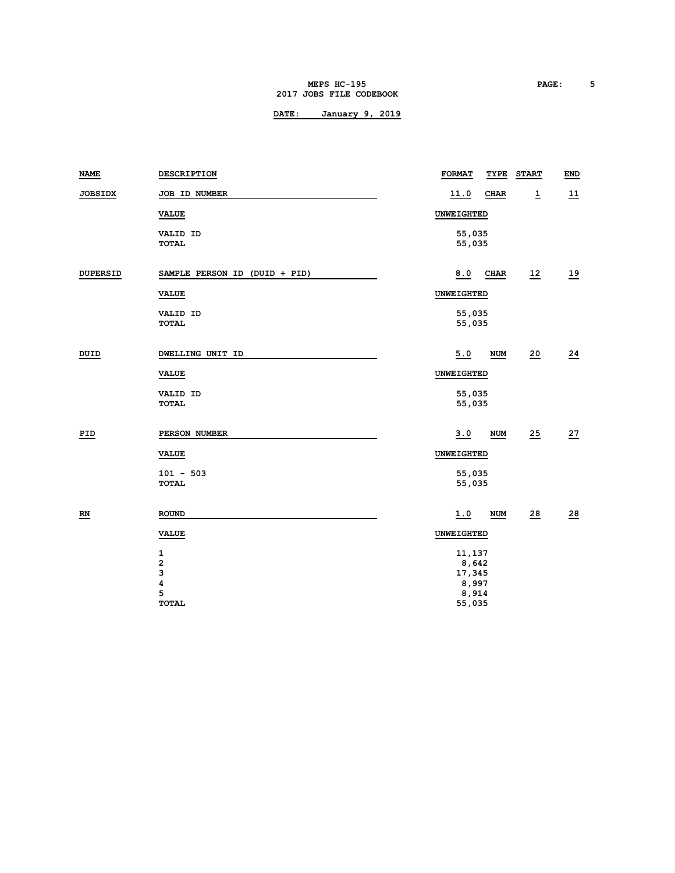#### **MEPS HC-195 PAGE: 5 2017 JOBS FILE CODEBOOK**

| NAME                      | DESCRIPTION                                 | <b>FORMAT</b><br>TYPE                       | <b>START</b>   | END             |  |  |  |
|---------------------------|---------------------------------------------|---------------------------------------------|----------------|-----------------|--|--|--|
| <b>JOBSIDX</b>            | JOB ID NUMBER                               | 11.0<br><b>CHAR</b>                         | $\overline{1}$ | 11              |  |  |  |
|                           | <b>VALUE</b>                                | UNWEIGHTED                                  |                |                 |  |  |  |
|                           | VALID ID<br><b>TOTAL</b>                    | 55,035<br>55,035                            |                |                 |  |  |  |
| <b>DUPERSID</b>           | SAMPLE PERSON ID (DUID + PID)               | 8.0<br>CHAR                                 | 12             | 19              |  |  |  |
|                           | <b>VALUE</b>                                | UNWEIGHTED                                  |                |                 |  |  |  |
|                           | VALID ID<br><b>TOTAL</b>                    | 55,035<br>55,035                            |                |                 |  |  |  |
| DUID                      | DWELLING UNIT ID                            | 5.0<br><b>NUM</b>                           | 20             | 24              |  |  |  |
|                           | <b>VALUE</b>                                | UNWEIGHTED                                  |                |                 |  |  |  |
|                           | VALID ID<br><b>TOTAL</b>                    | 55,035<br>55,035                            |                |                 |  |  |  |
| <u>PID</u>                | PERSON NUMBER                               | 3.0<br><b>NUM</b>                           | 25             | 27              |  |  |  |
|                           | <b>VALUE</b>                                | UNWEIGHTED                                  |                |                 |  |  |  |
|                           | $101 - 503$<br><b>TOTAL</b>                 | 55,035<br>55,035                            |                |                 |  |  |  |
| $\underline{\mathbf{RN}}$ | <b>ROUND</b>                                | 1.0<br><b>NUM</b>                           | 28             | $\overline{28}$ |  |  |  |
|                           | <b>VALUE</b>                                | UNWEIGHTED                                  |                |                 |  |  |  |
|                           | 1<br>$\overline{\mathbf{c}}$<br>3<br>4<br>5 | 11,137<br>8,642<br>17,345<br>8,997<br>8,914 |                |                 |  |  |  |
|                           | <b>TOTAL</b>                                | 55,035                                      |                |                 |  |  |  |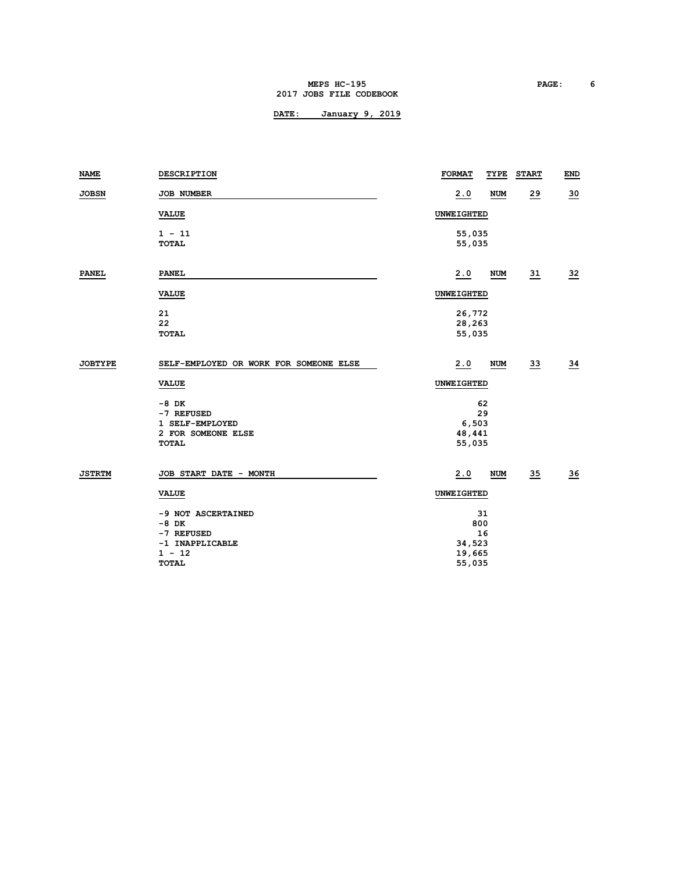#### **MEPS HC-195 PAGE: 6 2017 JOBS FILE CODEBOOK**

| <b>NAME</b>    | DESCRIPTION                            | <b>FORMAT</b>    | TYPE             | <b>START</b>    | END             |  |
|----------------|----------------------------------------|------------------|------------------|-----------------|-----------------|--|
| <b>JOBSN</b>   | JOB NUMBER                             | 2.0              | <b>NUM</b>       | 29              | $\overline{30}$ |  |
|                | <b>VALUE</b>                           | UNWEIGHTED       |                  |                 |                 |  |
|                | $1 - 11$                               | 55,035           |                  |                 |                 |  |
|                | <b>TOTAL</b>                           | 55,035           |                  |                 |                 |  |
| <b>PANEL</b>   | <b>PANEL</b>                           | 2.0              | <b>NUM</b>       | $\overline{31}$ | $\overline{32}$ |  |
|                | <b>VALUE</b>                           | UNWEIGHTED       |                  |                 |                 |  |
|                | 21                                     | 26,772           |                  |                 |                 |  |
|                | 22<br><b>TOTAL</b>                     | 28,263<br>55,035 |                  |                 |                 |  |
|                |                                        |                  |                  |                 |                 |  |
| <b>JOBTYPE</b> | SELF-EMPLOYED OR WORK FOR SOMEONE ELSE | 2.0              | NUM              | $\overline{33}$ | $\frac{34}{5}$  |  |
|                | <b>VALUE</b>                           | UNWEIGHTED       |                  |                 |                 |  |
|                | $-8$ DK                                |                  | 62               |                 |                 |  |
|                | -7 REFUSED                             |                  | 29               |                 |                 |  |
|                | 1 SELF-EMPLOYED                        | 6,503            |                  |                 |                 |  |
|                | 2 FOR SOMEONE ELSE<br><b>TOTAL</b>     |                  | 48,441<br>55,035 |                 |                 |  |
|                |                                        |                  |                  |                 |                 |  |
| <b>JSTRTM</b>  | JOB START DATE - MONTH                 | 2.0              | NUM              | $\overline{35}$ | $\frac{36}{5}$  |  |
|                | <b>VALUE</b>                           | UNWEIGHTED       |                  |                 |                 |  |
|                | -9 NOT ASCERTAINED                     |                  | 31               |                 |                 |  |
|                | $-8$ DK                                |                  | 800              |                 |                 |  |
|                | -7 REFUSED                             |                  | 16               |                 |                 |  |
|                | -1 INAPPLICABLE                        | 34,523           |                  |                 |                 |  |
|                | $1 - 12$                               | 19,665           |                  |                 |                 |  |
|                | <b>TOTAL</b>                           | 55,035           |                  |                 |                 |  |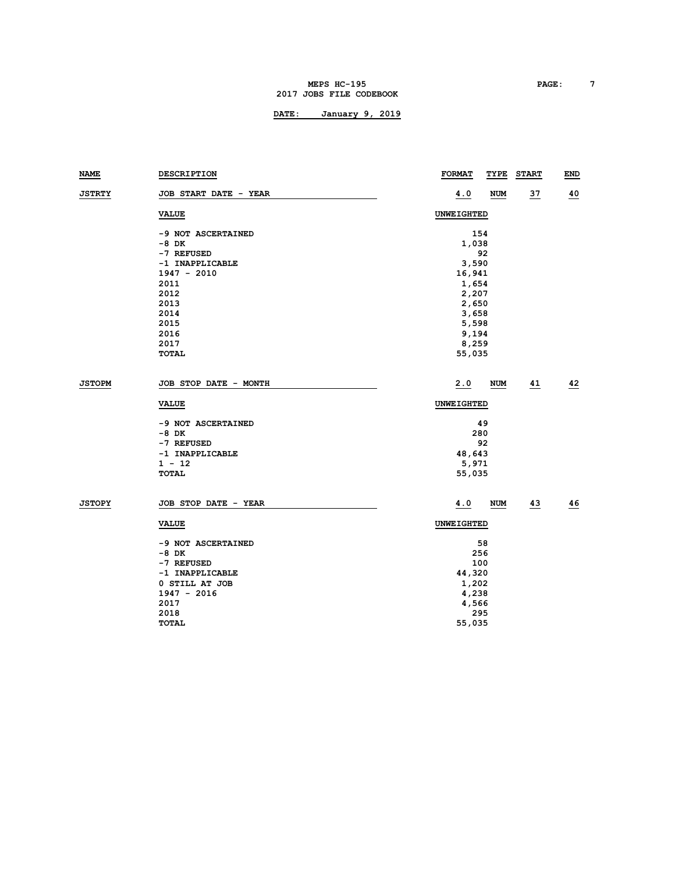### **MEPS HC-195 PAGE: 7 2017 JOBS FILE CODEBOOK**

| NAME          | <b>DESCRIPTION</b>    | <b>FORMAT</b><br>TYPE | <b>START</b> | END |  |  |  |  |
|---------------|-----------------------|-----------------------|--------------|-----|--|--|--|--|
| <b>JSTRTY</b> | JOB START DATE - YEAR | 4.0<br>NUM            | 37           | 40  |  |  |  |  |
|               | <b>VALUE</b>          | UNWEIGHTED            |              |     |  |  |  |  |
|               | -9 NOT ASCERTAINED    | 154                   |              |     |  |  |  |  |
|               | -8 DK                 | 1,038                 |              |     |  |  |  |  |
|               | -7 REFUSED            | 92                    |              |     |  |  |  |  |
|               | -1 INAPPLICABLE       | 3,590                 |              |     |  |  |  |  |
|               | $1947 - 2010$         | 16,941                |              |     |  |  |  |  |
|               | 2011                  | 1,654                 |              |     |  |  |  |  |
|               | 2012                  | 2,207                 |              |     |  |  |  |  |
|               | 2013                  | 2,650                 |              |     |  |  |  |  |
|               | 2014                  | 3,658                 |              |     |  |  |  |  |
|               | 2015                  | 5,598                 |              |     |  |  |  |  |
|               | 2016                  | 9,194                 |              |     |  |  |  |  |
|               | 2017                  | 8,259                 |              |     |  |  |  |  |
|               | <b>TOTAL</b>          | 55,035                |              |     |  |  |  |  |
| <b>JSTOPM</b> | JOB STOP DATE - MONTH | 2.0<br><b>NUM</b>     | 41           | 42  |  |  |  |  |
|               | <b>VALUE</b>          | <b>UNWEIGHTED</b>     |              |     |  |  |  |  |
|               | -9 NOT ASCERTAINED    | 49                    |              |     |  |  |  |  |
|               | $-8$ DK               | 280                   |              |     |  |  |  |  |
|               | -7 REFUSED            | 92                    |              |     |  |  |  |  |
|               | -1 INAPPLICABLE       | 48,643                |              |     |  |  |  |  |
|               | $1 - 12$              | 5,971                 |              |     |  |  |  |  |
|               | <b>TOTAL</b>          | 55,035                |              |     |  |  |  |  |
| <b>JSTOPY</b> | JOB STOP DATE - YEAR  | 4.0<br><b>NUM</b>     | 43           | 46  |  |  |  |  |
|               | <b>VALUE</b>          | <b>UNWEIGHTED</b>     |              |     |  |  |  |  |
|               |                       |                       |              |     |  |  |  |  |
|               | -9 NOT ASCERTAINED    | 58                    |              |     |  |  |  |  |
|               | -8 DK                 | 256                   |              |     |  |  |  |  |
|               | -7 REFUSED            | 100                   |              |     |  |  |  |  |
|               | -1 INAPPLICABLE       | 44,320                |              |     |  |  |  |  |
|               | 0 STILL AT JOB        | 1,202                 |              |     |  |  |  |  |
|               | $1947 - 2016$         | 4,238                 |              |     |  |  |  |  |
|               | 2017                  | 4,566                 |              |     |  |  |  |  |
|               | 2018                  | 295                   |              |     |  |  |  |  |
|               | <b>TOTAL</b>          | 55,035                |              |     |  |  |  |  |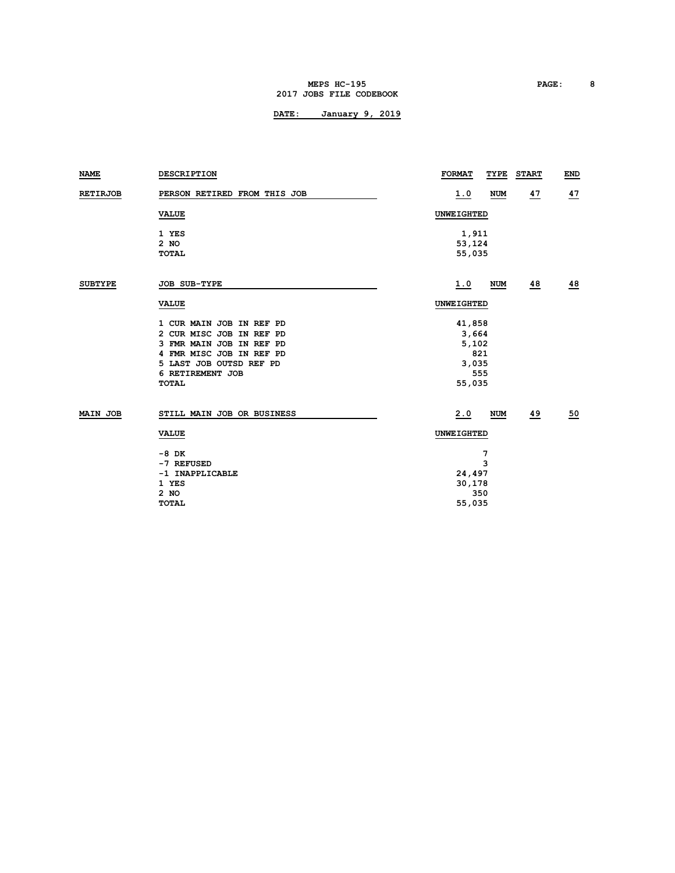#### **MEPS HC-195 PAGE: 8 2017 JOBS FILE CODEBOOK**

| <b>NAME</b>     | <b>DESCRIPTION</b>           | <b>FORMAT</b><br>TYPE<br><b>START</b> | END |  |  |  |
|-----------------|------------------------------|---------------------------------------|-----|--|--|--|
| <b>RETIRJOB</b> | PERSON RETIRED FROM THIS JOB | <u>47</u><br>1.0<br><b>NUM</b>        | 47  |  |  |  |
|                 | <b>VALUE</b>                 | <b>UNWEIGHTED</b>                     |     |  |  |  |
|                 | 1 YES                        | 1,911                                 |     |  |  |  |
|                 | $2$ NO                       | 53,124                                |     |  |  |  |
|                 | <b>TOTAL</b>                 | 55,035                                |     |  |  |  |
| <b>SUBTYPE</b>  | <b>JOB SUB-TYPE</b>          | 48<br>1.0<br><b>NUM</b>               | 48  |  |  |  |
|                 | <b>VALUE</b>                 | <b>UNWEIGHTED</b>                     |     |  |  |  |
|                 | 1 CUR MAIN JOB IN REF PD     | 41,858                                |     |  |  |  |
|                 | 2 CUR MISC JOB IN REF PD     | 3,664                                 |     |  |  |  |
|                 | 3 FMR MAIN JOB IN REF PD     | 5,102                                 |     |  |  |  |
|                 | 4 FMR MISC JOB IN REF PD     | 821                                   |     |  |  |  |
|                 | 5 LAST JOB OUTSD REF PD      | 3,035                                 |     |  |  |  |
|                 | 6 RETIREMENT JOB             | 555                                   |     |  |  |  |
|                 | <b>TOTAL</b>                 | 55,035                                |     |  |  |  |
| <b>MAIN JOB</b> | STILL MAIN JOB OR BUSINESS   | 49<br>2.0<br><b>NUM</b>               | 50  |  |  |  |
|                 | <b>VALUE</b>                 | <b>UNWEIGHTED</b>                     |     |  |  |  |
|                 | -8 DK                        | 7                                     |     |  |  |  |
|                 | -7 REFUSED                   | 3                                     |     |  |  |  |
|                 | -1 INAPPLICABLE              | 24,497                                |     |  |  |  |
|                 | 1 YES                        | 30,178                                |     |  |  |  |
|                 | 2 NO                         | 350                                   |     |  |  |  |
|                 | <b>TOTAL</b>                 | 55,035                                |     |  |  |  |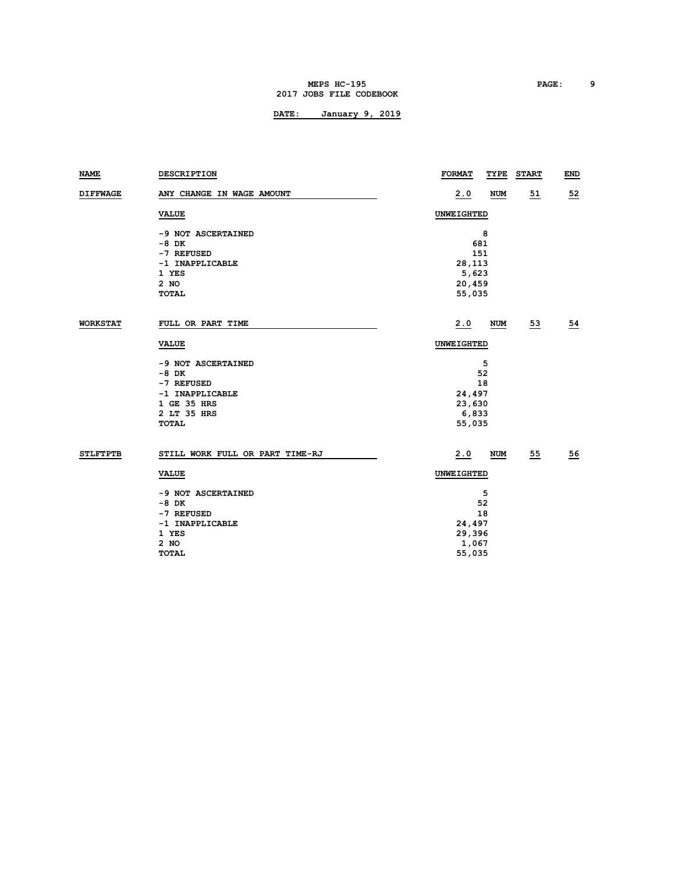#### **MEPS HC-195 PAGE: 9 2017 JOBS FILE CODEBOOK**

| <b>DESCRIPTION</b>              | <b>FORMAT</b>                                                                                                                         | <b>START</b>                                                                                                  | <b>END</b>                                     |  |  |  |
|---------------------------------|---------------------------------------------------------------------------------------------------------------------------------------|---------------------------------------------------------------------------------------------------------------|------------------------------------------------|--|--|--|
| ANY CHANGE IN WAGE AMOUNT       | 2.0                                                                                                                                   | 51                                                                                                            | 52                                             |  |  |  |
| <b>VALUE</b>                    | UNWEIGHTED                                                                                                                            |                                                                                                               |                                                |  |  |  |
| -9 NOT ASCERTAINED              | 8                                                                                                                                     |                                                                                                               |                                                |  |  |  |
| $-8$ DK                         | 681                                                                                                                                   |                                                                                                               |                                                |  |  |  |
| -7 REFUSED                      |                                                                                                                                       |                                                                                                               |                                                |  |  |  |
| -1 INAPPLICABLE                 | 28,113                                                                                                                                |                                                                                                               |                                                |  |  |  |
| 1 YES                           |                                                                                                                                       |                                                                                                               |                                                |  |  |  |
|                                 |                                                                                                                                       |                                                                                                               |                                                |  |  |  |
| TOTAL                           |                                                                                                                                       |                                                                                                               |                                                |  |  |  |
| FULL OR PART TIME               | 2.0                                                                                                                                   | $\overline{53}$                                                                                               | $\overline{54}$                                |  |  |  |
| <b>VALUE</b>                    | UNWEIGHTED                                                                                                                            |                                                                                                               |                                                |  |  |  |
|                                 |                                                                                                                                       |                                                                                                               |                                                |  |  |  |
|                                 |                                                                                                                                       |                                                                                                               |                                                |  |  |  |
|                                 |                                                                                                                                       |                                                                                                               |                                                |  |  |  |
|                                 |                                                                                                                                       |                                                                                                               |                                                |  |  |  |
|                                 |                                                                                                                                       |                                                                                                               |                                                |  |  |  |
|                                 |                                                                                                                                       |                                                                                                               |                                                |  |  |  |
| <b>TOTAL</b>                    | 55,035                                                                                                                                |                                                                                                               |                                                |  |  |  |
| STILL WORK FULL OR PART TIME-RJ | 2.0                                                                                                                                   | 55                                                                                                            | 56                                             |  |  |  |
| <b>VALUE</b>                    | UNWEIGHTED                                                                                                                            |                                                                                                               |                                                |  |  |  |
|                                 |                                                                                                                                       |                                                                                                               |                                                |  |  |  |
|                                 |                                                                                                                                       |                                                                                                               |                                                |  |  |  |
| -7 REFUSED                      | 18                                                                                                                                    |                                                                                                               |                                                |  |  |  |
| -1 INAPPLICABLE                 |                                                                                                                                       |                                                                                                               |                                                |  |  |  |
| 1 YES                           |                                                                                                                                       |                                                                                                               |                                                |  |  |  |
| 2 NO                            | 1,067                                                                                                                                 |                                                                                                               |                                                |  |  |  |
| <b>TOTAL</b>                    | 55,035                                                                                                                                |                                                                                                               |                                                |  |  |  |
|                                 | 2 NO<br>-9 NOT ASCERTAINED<br>$-8$ DK<br>-7 REFUSED<br>-1 INAPPLICABLE<br>1 GE 35 HRS<br>2 LT 35 HRS<br>-9 NOT ASCERTAINED<br>$-8$ DK | 151<br>5,623<br>20,459<br>55,035<br>5<br>52<br>18<br>24,497<br>23,630<br>6,833<br>5<br>52<br>24,497<br>29,396 | TYPE<br><b>NUM</b><br><b>NUM</b><br><b>NUM</b> |  |  |  |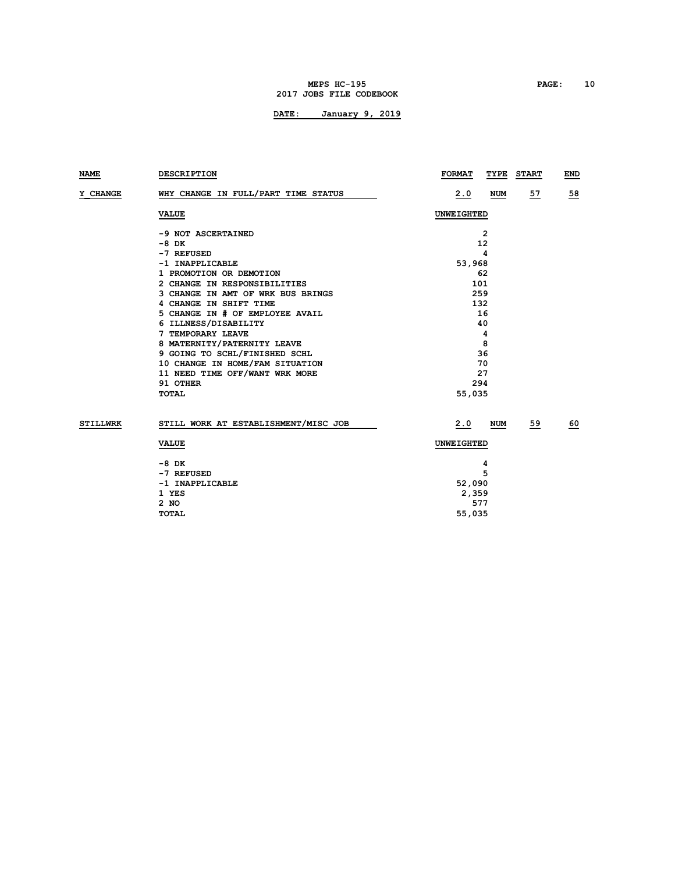#### **MEPS HC-195 PAGE: 10 2017 JOBS FILE CODEBOOK**

| NAME            | <b>DESCRIPTION</b>                   | <b>FORMAT</b>     | TYPE       | <b>START</b> | END              |
|-----------------|--------------------------------------|-------------------|------------|--------------|------------------|
| <b>Y CHANGE</b> | WHY CHANGE IN FULL/PART TIME STATUS  | 2.0               | <b>NUM</b> | 57           | 58               |
|                 | <b>VALUE</b>                         |                   | UNWEIGHTED |              |                  |
|                 | -9 NOT ASCERTAINED                   |                   | 2          |              |                  |
|                 | $-8$ DK                              |                   | 12         |              |                  |
|                 | -7 REFUSED                           |                   | 4          |              |                  |
|                 | -1 INAPPLICABLE                      | 53,968            |            |              |                  |
|                 | 1 PROMOTION OR DEMOTION              |                   | 62         |              |                  |
|                 | 2 CHANGE IN RESPONSIBILITIES         | 101               |            |              |                  |
|                 | 3 CHANGE IN AMT OF WRK BUS BRINGS    |                   | 259        |              |                  |
|                 | 4 CHANGE IN SHIFT TIME               |                   | 132        |              |                  |
|                 | 5 CHANGE IN # OF EMPLOYEE AVAIL      | 16                |            |              |                  |
|                 | 6 ILLNESS/DISABILITY                 | 40                |            |              |                  |
|                 | 7 TEMPORARY LEAVE                    | 4                 |            |              |                  |
|                 | 8 MATERNITY/PATERNITY LEAVE          | 8                 |            |              |                  |
|                 | 9 GOING TO SCHL/FINISHED SCHL        | 36                |            |              |                  |
|                 | 10 CHANGE IN HOME/FAM SITUATION      | 70                |            |              |                  |
|                 | 11 NEED TIME OFF/WANT WRK MORE       | 27                |            |              |                  |
|                 | 91 OTHER                             | 294               |            |              |                  |
|                 | <b>TOTAL</b>                         | 55,035            |            |              |                  |
| <b>STILLWRK</b> | STILL WORK AT ESTABLISHMENT/MISC JOB | 2.0               | <b>NUM</b> | 59           | $\underline{60}$ |
|                 | <b>VALUE</b>                         | <b>UNWEIGHTED</b> |            |              |                  |
|                 | -8 DK                                |                   |            |              |                  |
|                 | -7 REFUSED                           |                   | 4<br>5     |              |                  |
|                 | -1 INAPPLICABLE                      | 52,090            |            |              |                  |
|                 | 1 YES                                | 2,359             |            |              |                  |
|                 | 2 NO                                 |                   | 577        |              |                  |
|                 | <b>TOTAL</b>                         | 55,035            |            |              |                  |
|                 |                                      |                   |            |              |                  |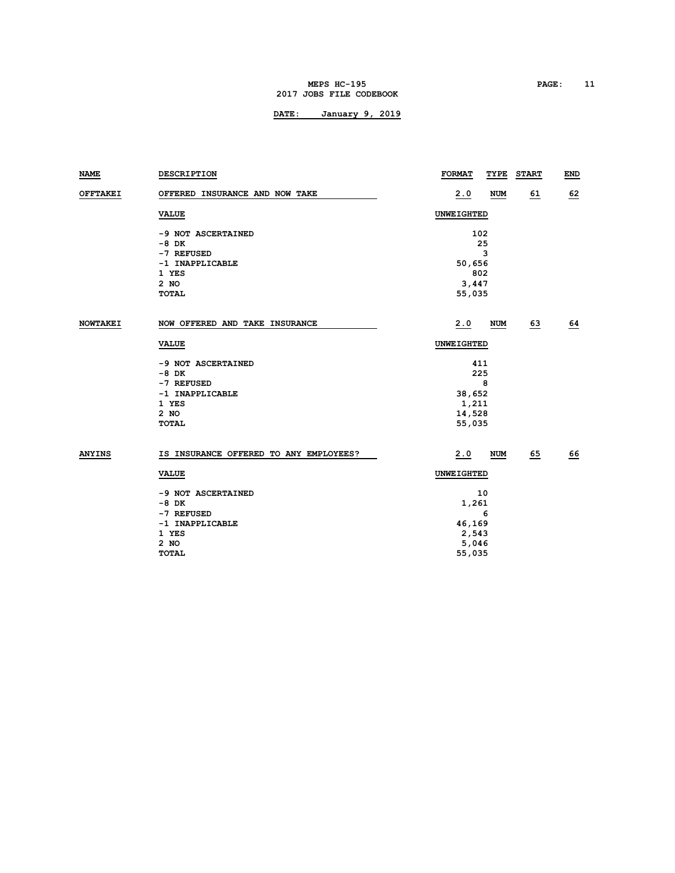#### **MEPS HC-195 PAGE: 11 2017 JOBS FILE CODEBOOK**

| NAME            | <b>DESCRIPTION</b>                     | <b>FORMAT</b> | TYPE       | <b>START</b> | END       |
|-----------------|----------------------------------------|---------------|------------|--------------|-----------|
| <b>OFFTAKEI</b> | OFFERED INSURANCE AND NOW TAKE         | 2.0           | <b>NUM</b> | 61           | 62        |
|                 | <b>VALUE</b>                           | UNWEIGHTED    |            |              |           |
|                 | -9 NOT ASCERTAINED                     | 102           |            |              |           |
|                 | $-8$ DK                                |               | 25         |              |           |
|                 | -7 REFUSED                             |               | 3          |              |           |
|                 | -1 INAPPLICABLE                        | 50,656        |            |              |           |
|                 | 1 YES                                  | 802           |            |              |           |
|                 | 2 NO                                   | 3,447         |            |              |           |
|                 | <b>TOTAL</b>                           | 55,035        |            |              |           |
|                 |                                        |               |            |              |           |
| <b>NOWTAKEI</b> | NOW OFFERED AND TAKE INSURANCE         | 2.0           | <b>NUM</b> | 63           | 64        |
|                 | <b>VALUE</b>                           | UNWEIGHTED    |            |              |           |
|                 | -9 NOT ASCERTAINED                     | 411           |            |              |           |
|                 | $-8$ DK                                | 225           |            |              |           |
|                 | -7 REFUSED                             |               | 8          |              |           |
|                 | -1 INAPPLICABLE                        | 38,652        |            |              |           |
|                 | 1 YES                                  | 1,211         |            |              |           |
|                 | $2$ NO                                 | 14,528        |            |              |           |
|                 | <b>TOTAL</b>                           | 55,035        |            |              |           |
|                 |                                        |               |            |              |           |
| <b>ANYINS</b>   | IS INSURANCE OFFERED TO ANY EMPLOYEES? | 2.0           | <b>NUM</b> | 65           | <u>66</u> |
|                 | <b>VALUE</b>                           | UNWEIGHTED    |            |              |           |
|                 | -9 NOT ASCERTAINED                     |               | 10         |              |           |
|                 | -8 DK                                  | 1,261         |            |              |           |
|                 | -7 REFUSED                             |               | 6          |              |           |
|                 | -1 INAPPLICABLE                        | 46,169        |            |              |           |
|                 | 1 YES                                  | 2,543         |            |              |           |
|                 | $2$ NO                                 | 5,046         |            |              |           |
|                 | <b>TOTAL</b>                           | 55,035        |            |              |           |
|                 |                                        |               |            |              |           |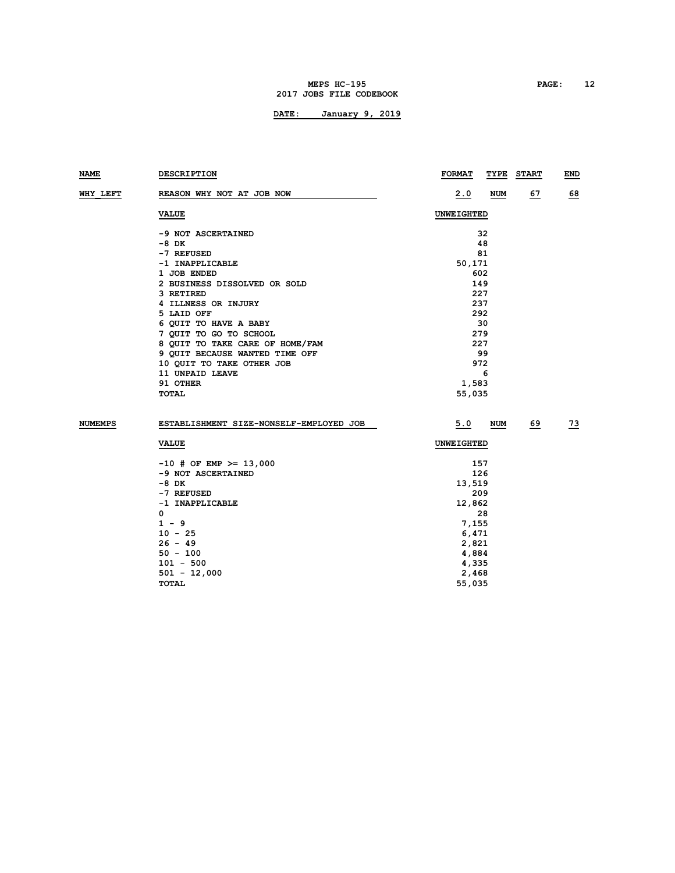### **MEPS HC-195 PAGE: 12 2017 JOBS FILE CODEBOOK**

| NAME     | <b>DESCRIPTION</b>                      | <b>FORMAT</b>     | TYPE       | <b>START</b> | END |  |
|----------|-----------------------------------------|-------------------|------------|--------------|-----|--|
| WHY LEFT | REASON WHY NOT AT JOB NOW               | 2.0               | NUM        | 67           | 68  |  |
|          | <b>VALUE</b>                            | <b>UNWEIGHTED</b> |            |              |     |  |
|          | -9 NOT ASCERTAINED                      |                   | 32         |              |     |  |
|          | -8 DK                                   |                   | 48         |              |     |  |
|          | -7 REFUSED                              |                   | 81         |              |     |  |
|          | -1 INAPPLICABLE                         | 50,171            |            |              |     |  |
|          | 1 JOB ENDED                             | 602               |            |              |     |  |
|          | 2 BUSINESS DISSOLVED OR SOLD            | 149               |            |              |     |  |
|          | 3 RETIRED                               | 227               |            |              |     |  |
|          | 4 ILLNESS OR INJURY                     | 237               |            |              |     |  |
|          | 5 LAID OFF                              | 292               |            |              |     |  |
|          | 6 QUIT TO HAVE A BABY                   |                   | 30         |              |     |  |
|          | 7 QUIT TO GO TO SCHOOL                  | 279               |            |              |     |  |
|          | 8 QUIT TO TAKE CARE OF HOME/FAM         | 227               |            |              |     |  |
|          | 9 QUIT BECAUSE WANTED TIME OFF          | 99                |            |              |     |  |
|          | 10 QUIT TO TAKE OTHER JOB               | 972               |            |              |     |  |
|          | 11 UNPAID LEAVE                         | 6                 |            |              |     |  |
|          | 91 OTHER                                | 1,583             |            |              |     |  |
|          | TOTAL                                   | 55,035            |            |              |     |  |
| NUMEMPS  | ESTABLISHMENT SIZE-NONSELF-EMPLOYED JOB | 5.0               | <b>NUM</b> | 69           | 73  |  |
|          | <b>VALUE</b>                            | UNWEIGHTED        |            |              |     |  |
|          | $-10$ # OF EMP >= 13,000                | 157               |            |              |     |  |
|          | -9 NOT ASCERTAINED                      | 126               |            |              |     |  |
|          | -8 DK                                   | 13,519            |            |              |     |  |
|          | -7 REFUSED                              | 209               |            |              |     |  |
|          | -1 INAPPLICABLE                         | 12,862            |            |              |     |  |
|          | 0                                       |                   | 28         |              |     |  |
|          | $1 - 9$                                 | 7,155             |            |              |     |  |
|          | $10 - 25$                               | 6,471             |            |              |     |  |
|          | $26 - 49$                               | 2,821             |            |              |     |  |
|          | $50 - 100$                              | 4,884             |            |              |     |  |
|          | $101 - 500$                             | 4,335             |            |              |     |  |
|          | $501 - 12,000$                          | 2,468             |            |              |     |  |
|          | <b>TOTAL</b>                            | 55,035            |            |              |     |  |
|          |                                         |                   |            |              |     |  |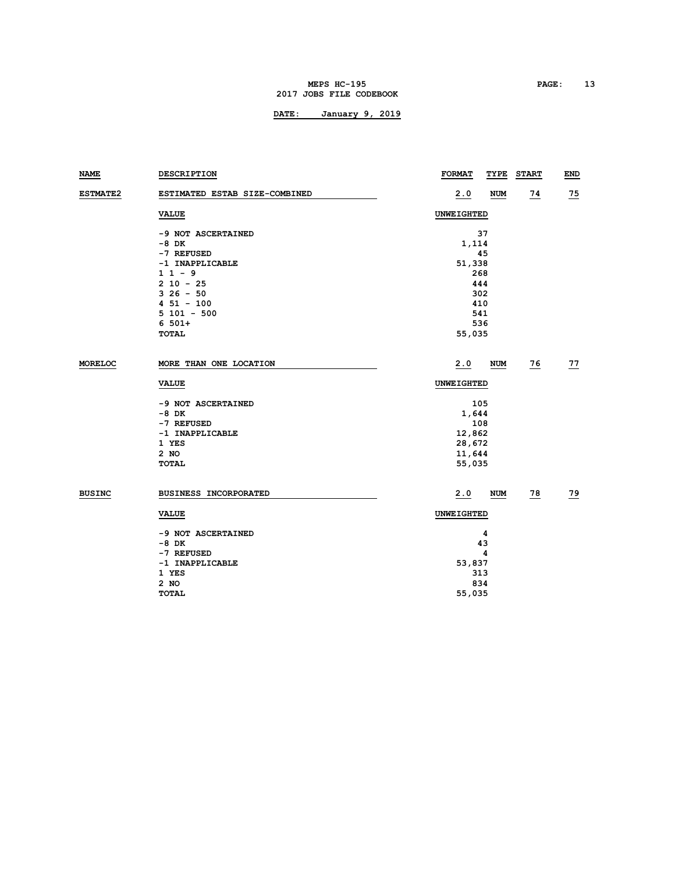#### **MEPS HC-195 PAGE: 13 2017 JOBS FILE CODEBOOK**

| NAME            | <b>DESCRIPTION</b>            | <b>FORMAT</b><br>TYPE | <b>START</b>    | <b>END</b>      |
|-----------------|-------------------------------|-----------------------|-----------------|-----------------|
| <b>ESTMATE2</b> | ESTIMATED ESTAB SIZE-COMBINED | 2.0<br><b>NUM</b>     | $\overline{14}$ | $\overline{25}$ |
|                 | <b>VALUE</b>                  | UNWEIGHTED            |                 |                 |
|                 | -9 NOT ASCERTAINED            | 37                    |                 |                 |
|                 | -8 DK                         | 1,114                 |                 |                 |
|                 | -7 REFUSED                    | 45                    |                 |                 |
|                 | -1 INAPPLICABLE               | 51,338                |                 |                 |
|                 | $11 - 9$                      | 268                   |                 |                 |
|                 | $2 10 - 25$                   | 444                   |                 |                 |
|                 | $326 - 50$                    | 302                   |                 |                 |
|                 | $451 - 100$                   | 410                   |                 |                 |
|                 | $5101 - 500$                  | 541                   |                 |                 |
|                 | $6.501+$                      | 536                   |                 |                 |
|                 | <b>TOTAL</b>                  | 55,035                |                 |                 |
| <b>MORELOC</b>  | MORE THAN ONE LOCATION        | 2.0<br><b>NUM</b>     | $\overline{26}$ | $\overline{27}$ |
|                 | <b>VALUE</b>                  | UNWEIGHTED            |                 |                 |
|                 | -9 NOT ASCERTAINED            | 105                   |                 |                 |
|                 | -8 DK                         | 1,644                 |                 |                 |
|                 | -7 REFUSED                    | 108                   |                 |                 |
|                 | -1 INAPPLICABLE               | 12,862                |                 |                 |
|                 | 1 YES                         | 28,672                |                 |                 |
|                 | 2 NO                          | 11,644                |                 |                 |
|                 | <b>TOTAL</b>                  | 55,035                |                 |                 |
| <b>BUSINC</b>   | <b>BUSINESS INCORPORATED</b>  | 2.0<br>NUM            | $\overline{28}$ | <u>79</u>       |
|                 | <b>VALUE</b>                  | UNWEIGHTED            |                 |                 |
|                 | -9 NOT ASCERTAINED            | 4                     |                 |                 |
|                 | $-8$ DK                       | 43                    |                 |                 |
|                 | -7 REFUSED                    | 4                     |                 |                 |
|                 | -1 INAPPLICABLE               | 53,837                |                 |                 |
|                 | 1 YES                         | 313                   |                 |                 |
|                 | 2 NO                          | 834                   |                 |                 |
|                 | <b>TOTAL</b>                  | 55,035                |                 |                 |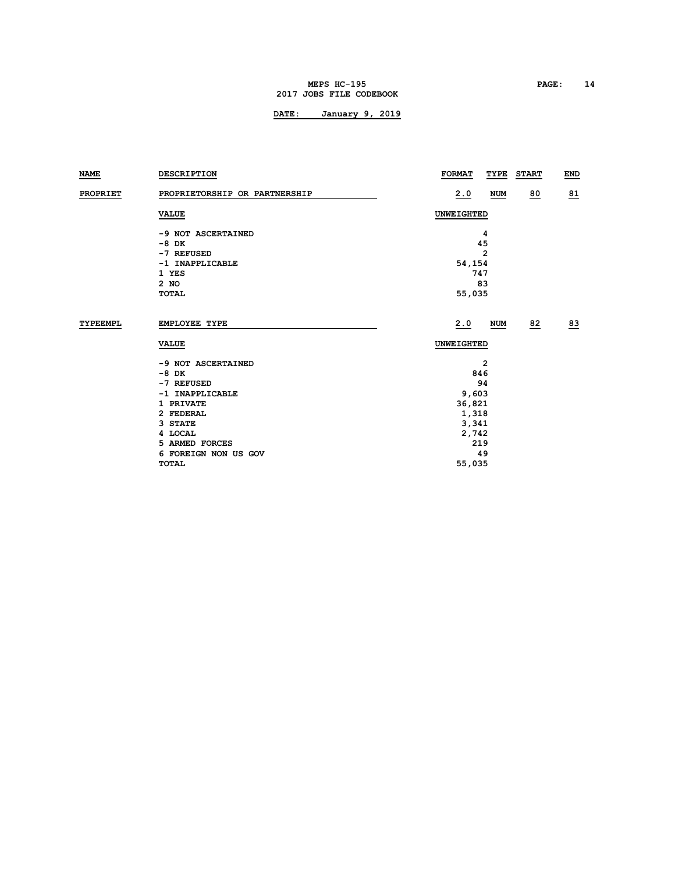#### **MEPS HC-195 PAGE: 14 2017 JOBS FILE CODEBOOK**

| NAME            | <b>DESCRIPTION</b>            | <b>FORMAT</b><br><b>START</b><br>TYPE | END |
|-----------------|-------------------------------|---------------------------------------|-----|
| <b>PROPRIET</b> | PROPRIETORSHIP OR PARTNERSHIP | 80<br>2.0<br>NUM                      | 81  |
|                 | <b>VALUE</b>                  | <b>UNWEIGHTED</b>                     |     |
|                 | -9 NOT ASCERTAINED            | 4                                     |     |
|                 | $-8$ DK                       | 45                                    |     |
|                 | -7 REFUSED                    | $\overline{2}$                        |     |
|                 | -1 INAPPLICABLE               | 54,154                                |     |
|                 | 1 YES                         | 747                                   |     |
|                 | 2 NO                          | 83                                    |     |
|                 | <b>TOTAL</b>                  | 55,035                                |     |
| TYPEEMPL        | EMPLOYEE TYPE                 | 2.0<br>82<br>NUM                      | 83  |
|                 | <b>VALUE</b>                  | <b>UNWEIGHTED</b>                     |     |
|                 | -9 NOT ASCERTAINED            | 2                                     |     |
|                 | $-8$ DK                       | 846                                   |     |
|                 | -7 REFUSED                    | 94                                    |     |
|                 | -1 INAPPLICABLE               | 9,603                                 |     |
|                 | 1 PRIVATE                     | 36,821                                |     |
|                 | 2 FEDERAL                     | 1,318                                 |     |
|                 | 3 STATE                       | 3,341                                 |     |
|                 | 4 LOCAL                       | 2,742                                 |     |
|                 | 5 ARMED FORCES                | 219                                   |     |
|                 | 6 FOREIGN NON US GOV          | 49                                    |     |
|                 | TOTAL                         | 55,035                                |     |
|                 |                               |                                       |     |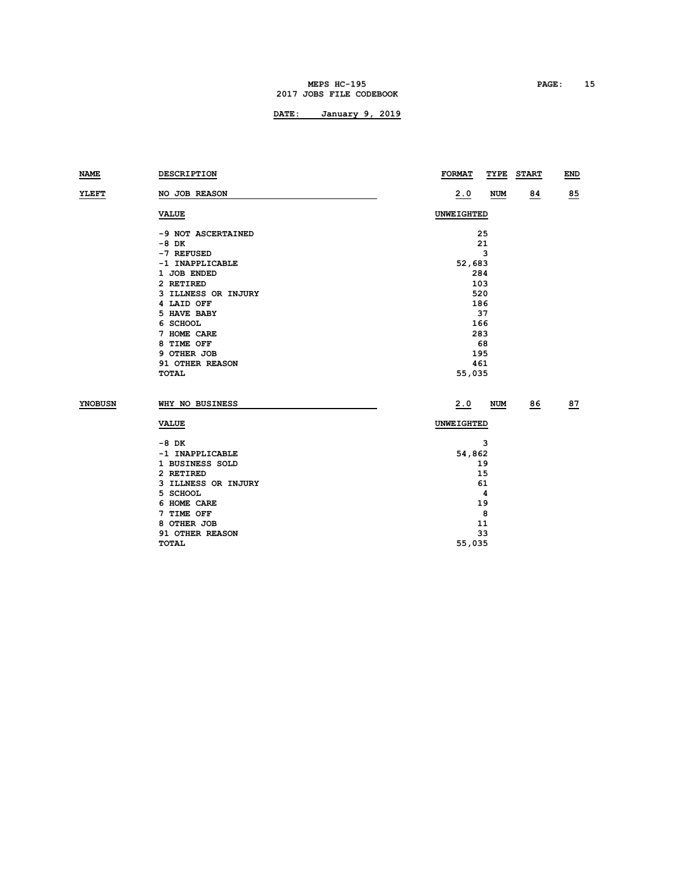#### **MEPS HC-195 PAGE: 15 2017 JOBS FILE CODEBOOK**

| <b>NAME</b>    | DESCRIPTION         | <b>FORMAT</b><br>TYPE | <b>START</b><br>END |  |  |  |  |
|----------------|---------------------|-----------------------|---------------------|--|--|--|--|
| YLEFT          | NO JOB REASON       | 2.0<br><b>NUM</b>     | 85<br>84            |  |  |  |  |
|                | <b>VALUE</b>        | <b>UNWEIGHTED</b>     |                     |  |  |  |  |
|                | -9 NOT ASCERTAINED  | 25                    |                     |  |  |  |  |
|                | -8 DK               | 21                    |                     |  |  |  |  |
|                | -7 REFUSED          | 3                     |                     |  |  |  |  |
|                | -1 INAPPLICABLE     | 52,683                |                     |  |  |  |  |
|                | 1 JOB ENDED         | 284                   |                     |  |  |  |  |
|                | 2 RETIRED           | 103                   |                     |  |  |  |  |
|                | 3 ILLNESS OR INJURY | 520                   |                     |  |  |  |  |
|                | 4 LAID OFF          | 186                   |                     |  |  |  |  |
|                | 5 HAVE BABY         | 37                    |                     |  |  |  |  |
|                | 6 SCHOOL            | 166                   |                     |  |  |  |  |
|                | 7 HOME CARE         | 283                   |                     |  |  |  |  |
|                | 8 TIME OFF          | 68                    |                     |  |  |  |  |
|                | 9 OTHER JOB         | 195                   |                     |  |  |  |  |
|                | 91 OTHER REASON     | 461                   |                     |  |  |  |  |
|                | <b>TOTAL</b>        | 55,035                |                     |  |  |  |  |
| <b>YNOBUSN</b> | WHY NO BUSINESS     | 2.0<br><b>NUM</b>     | 86<br>87            |  |  |  |  |
|                | <b>VALUE</b>        | UNWEIGHTED            |                     |  |  |  |  |
|                | -8 DK               | 3                     |                     |  |  |  |  |
|                | -1 INAPPLICABLE     | 54,862                |                     |  |  |  |  |
|                | 1 BUSINESS SOLD     | 19                    |                     |  |  |  |  |
|                | 2 RETIRED           | 15                    |                     |  |  |  |  |
|                | 3 ILLNESS OR INJURY | 61                    |                     |  |  |  |  |
|                | 5 SCHOOL            | 4                     |                     |  |  |  |  |
|                | 6 HOME CARE         | 19                    |                     |  |  |  |  |
|                | 7 TIME OFF          | 8                     |                     |  |  |  |  |
|                | 8 OTHER JOB         | 11                    |                     |  |  |  |  |
|                | 91 OTHER REASON     | 33                    |                     |  |  |  |  |
|                | <b>TOTAL</b>        | 55,035                |                     |  |  |  |  |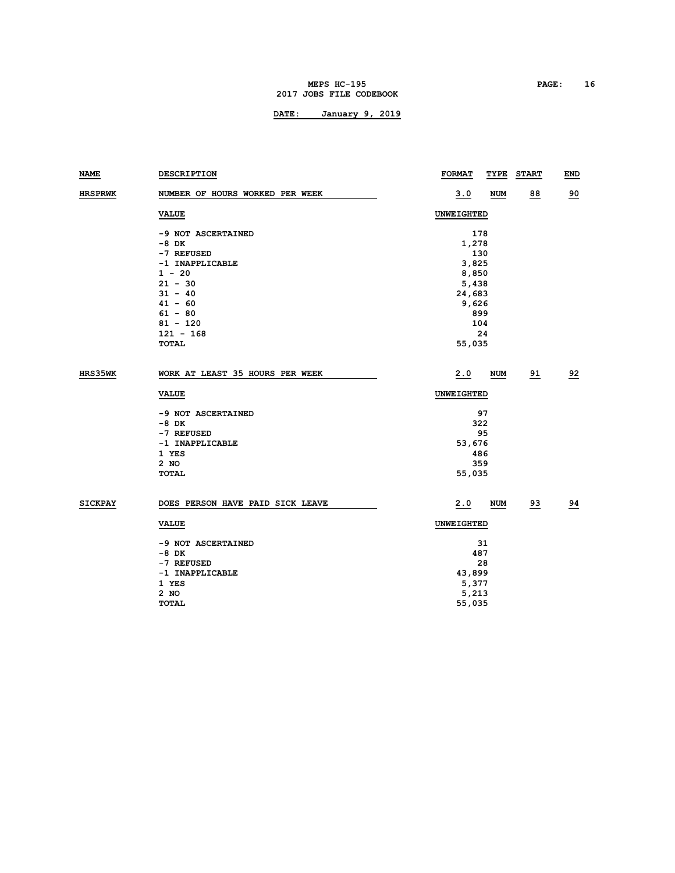### **MEPS HC-195 PAGE: 16 2017 JOBS FILE CODEBOOK**

| <b>NAME</b>    | DESCRIPTION                      | <b>FORMAT</b><br>TYPE | <b>START</b> | <b>END</b> |
|----------------|----------------------------------|-----------------------|--------------|------------|
| <b>HRSPRWK</b> | NUMBER OF HOURS WORKED PER WEEK  | <u>3.0</u><br>NUM     | 88           | 90         |
|                | <b>VALUE</b>                     | <b>UNWEIGHTED</b>     |              |            |
|                | -9 NOT ASCERTAINED               | 178                   |              |            |
|                | -8 DK                            | 1,278                 |              |            |
|                | -7 REFUSED                       | 130                   |              |            |
|                | -1 INAPPLICABLE                  | 3,825                 |              |            |
|                | $1 - 20$                         | 8,850                 |              |            |
|                | $21 - 30$                        | 5,438                 |              |            |
|                | $31 - 40$                        | 24,683                |              |            |
|                | $41 - 60$                        | 9,626                 |              |            |
|                | $61 - 80$<br>$81 - 120$          | 899<br>104            |              |            |
|                | $121 - 168$                      | 24                    |              |            |
|                | TOTAL                            | 55,035                |              |            |
|                |                                  |                       |              |            |
| HRS35WK        | WORK AT LEAST 35 HOURS PER WEEK  | 2.0<br>NUM            | 91           | 92         |
|                | <b>VALUE</b>                     | UNWEIGHTED            |              |            |
|                | -9 NOT ASCERTAINED               | 97                    |              |            |
|                | -8 DK                            | 322                   |              |            |
|                | -7 REFUSED                       | 95                    |              |            |
|                | -1 INAPPLICABLE                  | 53,676                |              |            |
|                | 1 YES                            | 486                   |              |            |
|                | 2 NO                             | 359                   |              |            |
|                | <b>TOTAL</b>                     | 55,035                |              |            |
| <b>SICKPAY</b> | DOES PERSON HAVE PAID SICK LEAVE | 2.0<br>NUM            | 93           | 94         |
|                | <b>VALUE</b>                     | UNWEIGHTED            |              |            |
|                | -9 NOT ASCERTAINED               | 31                    |              |            |
|                | -8 DK                            | 487                   |              |            |
|                | -7 REFUSED                       | 28                    |              |            |
|                | -1 INAPPLICABLE                  | 43,899                |              |            |
|                | 1 YES                            | 5,377                 |              |            |
|                | 2 NO                             | 5,213                 |              |            |
|                | <b>TOTAL</b>                     | 55,035                |              |            |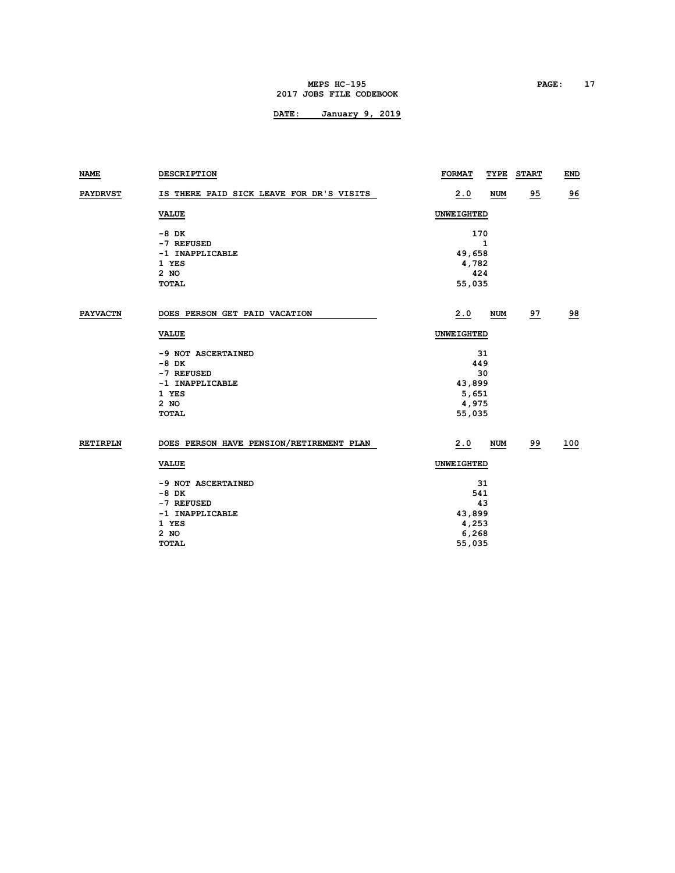#### **MEPS HC-195 PAGE: 17 2017 JOBS FILE CODEBOOK**

| NAME            | <b>DESCRIPTION</b>                                                                                | <b>FORMAT</b>                                         | TYPE       | <b>START</b> | <b>END</b>     |
|-----------------|---------------------------------------------------------------------------------------------------|-------------------------------------------------------|------------|--------------|----------------|
| <b>PAYDRVST</b> | IS THERE PAID SICK LEAVE FOR DR'S VISITS                                                          | 2.0                                                   | <b>NUM</b> | 95           | <u>96</u>      |
|                 | <b>VALUE</b>                                                                                      | UNWEIGHTED                                            |            |              |                |
|                 | $-8$ DK<br>-7 REFUSED<br>-1 INAPPLICABLE<br>1 YES<br>$2$ NO<br><b>TOTAL</b>                       | 170<br>49,658<br>4,782<br>424<br>55,035               | 1          |              |                |
|                 |                                                                                                   |                                                       |            |              |                |
| <b>PAYVACTN</b> | DOES PERSON GET PAID VACATION                                                                     | 2.0                                                   | <b>NUM</b> | 97           | $\frac{98}{1}$ |
|                 | <b>VALUE</b>                                                                                      | UNWEIGHTED                                            |            |              |                |
|                 | -9 NOT ASCERTAINED<br>$-8$ DK<br>-7 REFUSED<br>-1 INAPPLICABLE<br>1 YES<br>$2$ NO<br><b>TOTAL</b> | 449<br>43,899<br>5,651<br>4,975<br>55,035             | 31<br>30   |              |                |
| <b>RETIRPLN</b> | DOES PERSON HAVE PENSION/RETIREMENT PLAN                                                          | 2.0                                                   | <b>NUM</b> | 99           | 100            |
|                 | <b>VALUE</b>                                                                                      | UNWEIGHTED                                            |            |              |                |
|                 | -9 NOT ASCERTAINED<br>$-8$ DK<br>-7 REFUSED<br>-1 INAPPLICABLE<br>1 YES<br>$2$ NO<br><b>TOTAL</b> | 31<br>541<br>43<br>43,899<br>4,253<br>6,268<br>55,035 |            |              |                |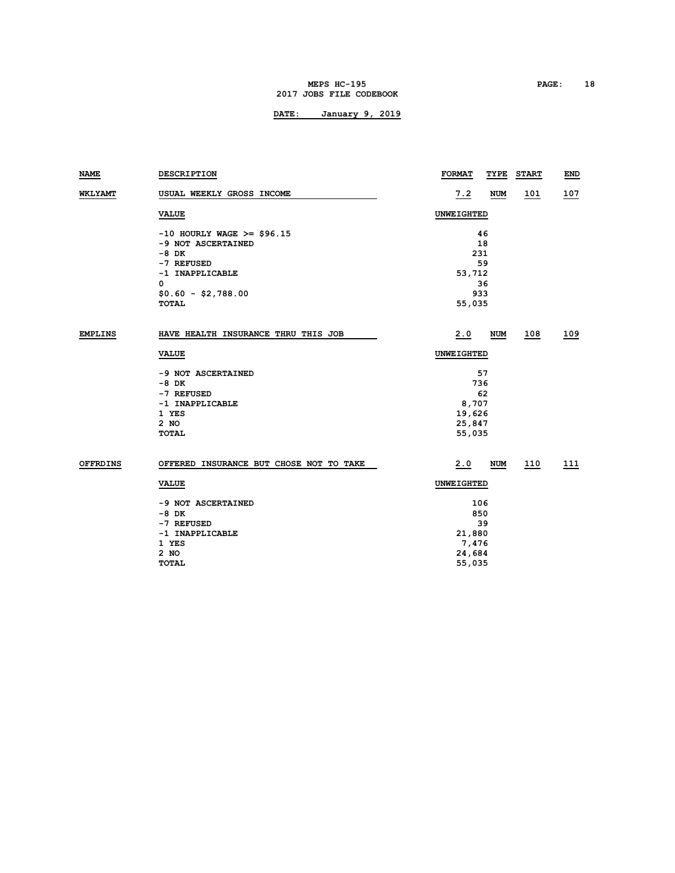#### **MEPS HC-195 PAGE: 18 2017 JOBS FILE CODEBOOK**

| <b>NAME</b>     | <b>DESCRIPTION</b>                      | <b>FORMAT</b> | TYPE       | <b>START</b> | <b>END</b> |
|-----------------|-----------------------------------------|---------------|------------|--------------|------------|
| <b>WKLYAMT</b>  | USUAL WEEKLY GROSS INCOME               | 7.2           | <b>NUM</b> | 101          | 107        |
|                 | <b>VALUE</b>                            | UNWEIGHTED    |            |              |            |
|                 | $-10$ HOURLY WAGE >= \$96.15            |               | 46         |              |            |
|                 | -9 NOT ASCERTAINED                      |               | 18         |              |            |
|                 | -8 DK                                   |               | 231        |              |            |
|                 | -7 REFUSED                              |               | 59         |              |            |
|                 | -1 INAPPLICABLE                         | 53,712        |            |              |            |
|                 | 0                                       |               | 36         |              |            |
|                 | $$0.60 - $2,788.00$                     |               | 933        |              |            |
|                 | TOTAL                                   | 55,035        |            |              |            |
| <b>EMPLINS</b>  | HAVE HEALTH INSURANCE THRU THIS JOB     | 2.0           | <b>NUM</b> | 108          | 109        |
|                 | <b>VALUE</b>                            | UNWEIGHTED    |            |              |            |
|                 | -9 NOT ASCERTAINED                      |               | 57         |              |            |
|                 | $-8$ DK                                 |               | 736        |              |            |
|                 | -7 REFUSED                              |               | 62         |              |            |
|                 | -1 INAPPLICABLE                         | 8,707         |            |              |            |
|                 | 1 YES                                   | 19,626        |            |              |            |
|                 | $2$ NO                                  | 25,847        |            |              |            |
|                 | <b>TOTAL</b>                            | 55,035        |            |              |            |
| <b>OFFRDINS</b> | OFFERED INSURANCE BUT CHOSE NOT TO TAKE | 2.0           | NUM        | 110          | 111        |
|                 | <b>VALUE</b>                            | UNWEIGHTED    |            |              |            |
|                 | -9 NOT ASCERTAINED                      |               | 106        |              |            |
|                 | $-8$ DK                                 |               | 850        |              |            |
|                 | -7 REFUSED                              |               | 39         |              |            |
|                 | -1 INAPPLICABLE                         | 21,880        |            |              |            |
|                 | 1 YES                                   | 7,476         |            |              |            |
|                 | $2$ NO                                  | 24,684        |            |              |            |
|                 | <b>TOTAL</b>                            | 55,035        |            |              |            |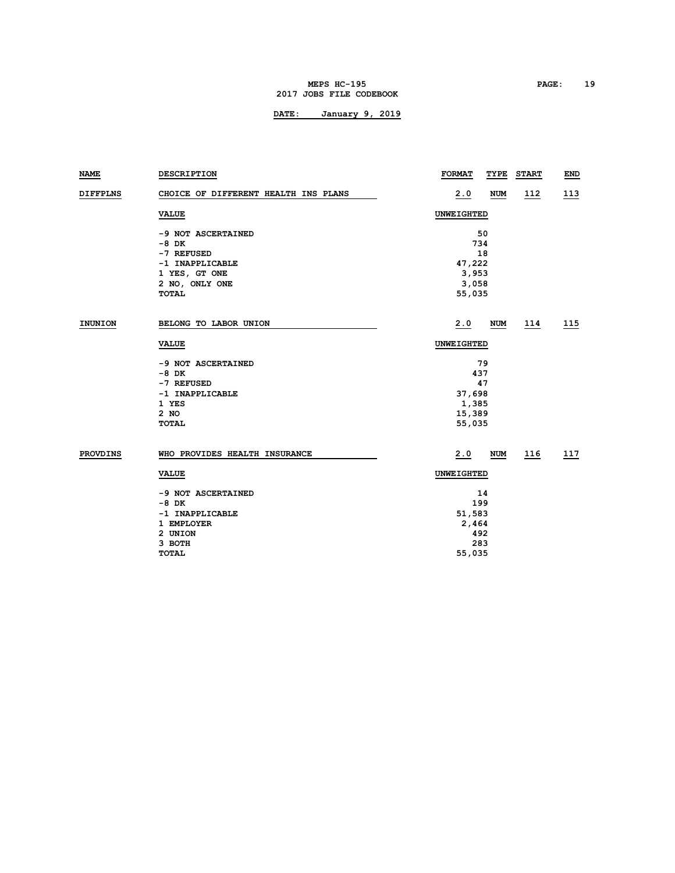#### **MEPS HC-195 PAGE: 19 2017 JOBS FILE CODEBOOK**

| NAME            | <b>DESCRIPTION</b>                   | <b>FORMAT</b><br><b>START</b><br>TYPE | END         |
|-----------------|--------------------------------------|---------------------------------------|-------------|
| <b>DIFFPLNS</b> | CHOICE OF DIFFERENT HEALTH INS PLANS | 2.0<br><b>NUM</b><br><u>112</u>       | <u> 113</u> |
|                 | <b>VALUE</b>                         | UNWEIGHTED                            |             |
|                 | -9 NOT ASCERTAINED                   | 50                                    |             |
|                 | -8 DK                                | 734                                   |             |
|                 | -7 REFUSED                           | 18                                    |             |
|                 | -1 INAPPLICABLE                      | 47,222                                |             |
|                 | 1 YES, GT ONE                        | 3,953                                 |             |
|                 | 2 NO, ONLY ONE                       | 3,058                                 |             |
|                 | <b>TOTAL</b>                         | 55,035                                |             |
| <b>INUNION</b>  | BELONG TO LABOR UNION                | 2.0<br><b>NUM</b><br>114              | 115         |
|                 | <b>VALUE</b>                         | UNWEIGHTED                            |             |
|                 |                                      |                                       |             |
|                 | -9 NOT ASCERTAINED                   | 79                                    |             |
|                 | $-8$ DK                              | 437                                   |             |
|                 | -7 REFUSED                           | 47                                    |             |
|                 | -1 INAPPLICABLE                      | 37,698                                |             |
|                 | 1 YES                                | 1,385                                 |             |
|                 | $2$ NO                               | 15,389                                |             |
|                 | <b>TOTAL</b>                         | 55,035                                |             |
| <b>PROVDINS</b> | WHO PROVIDES HEALTH INSURANCE        | 2.0<br><b>NUM</b><br>116              | 117         |
|                 | <b>VALUE</b>                         | UNWEIGHTED                            |             |
|                 | -9 NOT ASCERTAINED                   | 14                                    |             |
|                 | $-8$ DK                              | 199                                   |             |
|                 | -1 INAPPLICABLE                      | 51,583                                |             |
|                 | 1 EMPLOYER                           | 2,464                                 |             |
|                 | 2 UNION                              | 492                                   |             |
|                 | 3 ВОТН                               | 283                                   |             |
|                 | <b>TOTAL</b>                         | 55,035                                |             |
|                 |                                      |                                       |             |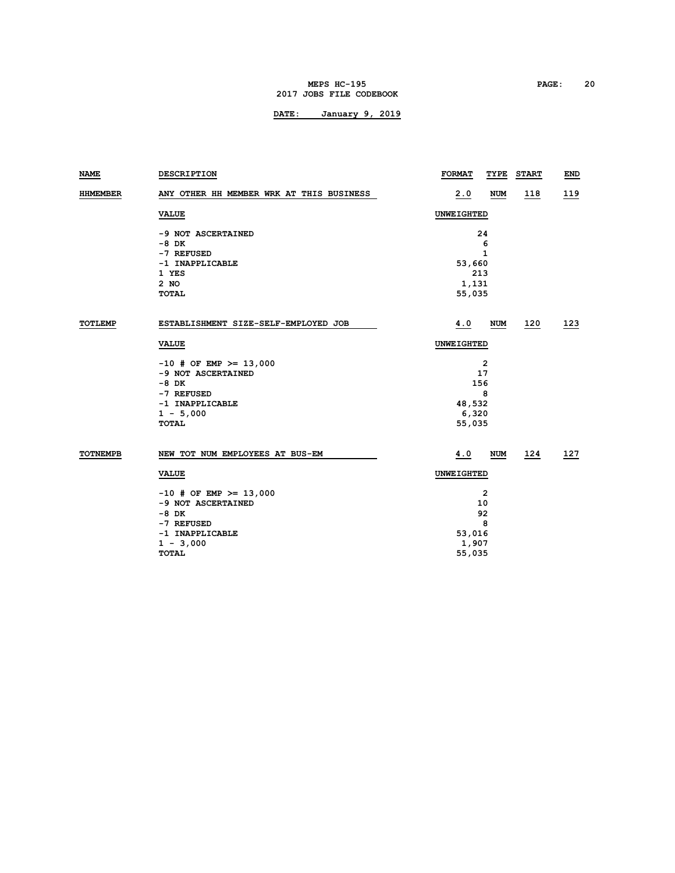#### **MEPS HC-195 PAGE: 20 2017 JOBS FILE CODEBOOK**

| NAME            | <b>DESCRIPTION</b>                       | <b>FORMAT</b> | TYPE       | <b>START</b> | <b>END</b> |
|-----------------|------------------------------------------|---------------|------------|--------------|------------|
| <b>HHMEMBER</b> | ANY OTHER HH MEMBER WRK AT THIS BUSINESS | 2.0           | <b>NUM</b> | <u>118</u>   | <u>119</u> |
|                 | <b>VALUE</b>                             | UNWEIGHTED    |            |              |            |
|                 | -9 NOT ASCERTAINED                       |               | 24         |              |            |
|                 | -8 DK                                    |               | 6          |              |            |
|                 | -7 REFUSED                               |               | 1          |              |            |
|                 | -1 INAPPLICABLE                          | 53,660        |            |              |            |
|                 | 1 YES                                    |               | 213        |              |            |
|                 | 2 NO                                     | 1,131         |            |              |            |
|                 | TOTAL                                    | 55,035        |            |              |            |
| <b>TOTLEMP</b>  | ESTABLISHMENT SIZE-SELF-EMPLOYED JOB     | 4.0           | <b>NUM</b> | 120          | 123        |
|                 | <b>VALUE</b>                             | UNWEIGHTED    |            |              |            |
|                 | $-10$ # OF EMP >= 13,000                 |               | 2          |              |            |
|                 | -9 NOT ASCERTAINED                       |               | 17         |              |            |
|                 | $-8$ DK                                  |               | 156        |              |            |
|                 | -7 REFUSED                               |               | 8          |              |            |
|                 | -1 INAPPLICABLE                          | 48,532        |            |              |            |
|                 | $1 - 5,000$                              | 6,320         |            |              |            |
|                 | <b>TOTAL</b>                             | 55,035        |            |              |            |
| <b>TOTNEMPB</b> | NEW TOT NUM EMPLOYEES AT BUS-EM          | 4.0           | <b>NUM</b> | 124          | 127        |
|                 | <b>VALUE</b>                             | UNWEIGHTED    |            |              |            |
|                 |                                          |               |            |              |            |
|                 | $-10$ # OF EMP >= 13,000                 | 2             |            |              |            |
|                 | -9 NOT ASCERTAINED                       | 10            |            |              |            |
|                 | -8 DK                                    | 92            |            |              |            |
|                 | -7 REFUSED                               |               | 8          |              |            |
|                 | -1 INAPPLICABLE                          | 53,016        |            |              |            |
|                 | $1 - 3,000$                              | 1,907         |            |              |            |
|                 | <b>TOTAL</b>                             | 55,035        |            |              |            |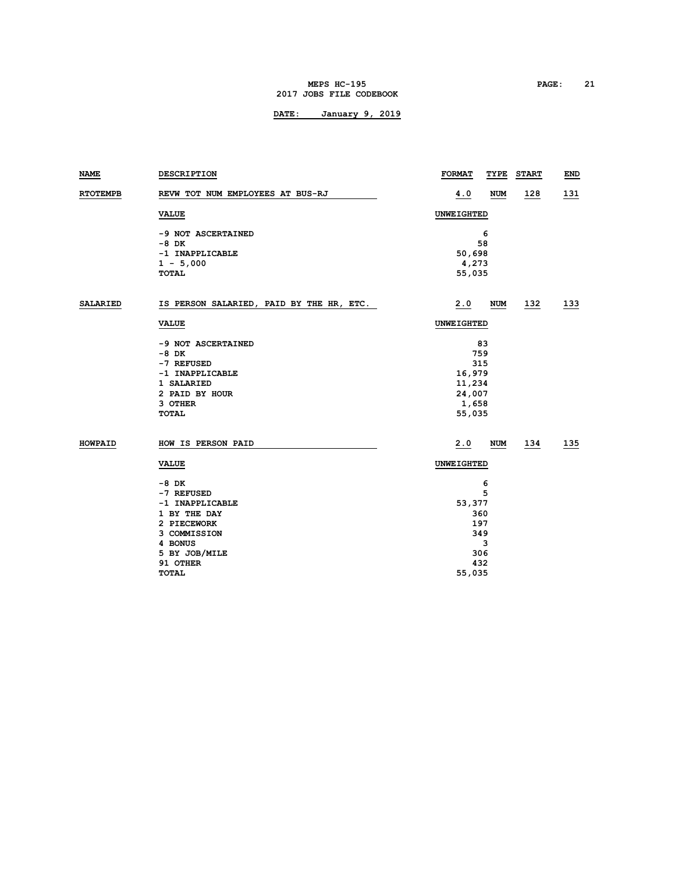#### **MEPS HC-195 PAGE: 21 2017 JOBS FILE CODEBOOK**

| <b>NAME</b>     | DESCRIPTION                              | <b>FORMAT</b> | TYPE       | <b>START</b> | <b>END</b> |  |
|-----------------|------------------------------------------|---------------|------------|--------------|------------|--|
| <b>RTOTEMPB</b> | REVW TOT NUM EMPLOYEES AT BUS-RJ         | 4.0           | <b>NUM</b> | 128          | <u>131</u> |  |
|                 | <b>VALUE</b>                             | UNWEIGHTED    |            |              |            |  |
|                 | -9 NOT ASCERTAINED                       |               | 6          |              |            |  |
|                 | -8 DK                                    |               | 58         |              |            |  |
|                 | -1 INAPPLICABLE                          | 50,698        |            |              |            |  |
|                 | $1 - 5,000$                              | 4,273         |            |              |            |  |
|                 | <b>TOTAL</b>                             | 55,035        |            |              |            |  |
| SALARIED        | IS PERSON SALARIED, PAID BY THE HR, ETC. | 2.0           | <b>NUM</b> | 132          | 133        |  |
|                 | <b>VALUE</b>                             | UNWEIGHTED    |            |              |            |  |
|                 | -9 NOT ASCERTAINED                       | 83            |            |              |            |  |
|                 | $-8$ DK                                  | 759           |            |              |            |  |
|                 | -7 REFUSED                               | 315           |            |              |            |  |
|                 | -1 INAPPLICABLE                          | 16,979        |            |              |            |  |
|                 | 1 SALARIED                               | 11,234        |            |              |            |  |
|                 | 2 PAID BY HOUR                           | 24,007        |            |              |            |  |
|                 | 3 OTHER                                  | 1,658         |            |              |            |  |
|                 | <b>TOTAL</b>                             | 55,035        |            |              |            |  |
| HOWPAID         | HOW IS PERSON PAID                       | 2.0           | NUM        | <u> 134</u>  | <u>135</u> |  |
|                 | <b>VALUE</b>                             | UNWEIGHTED    |            |              |            |  |
|                 | -8 DK                                    |               | 6          |              |            |  |
|                 | -7 REFUSED                               | 5             |            |              |            |  |
|                 | -1 INAPPLICABLE                          | 53,377        |            |              |            |  |
|                 | 1 BY THE DAY                             | 360           |            |              |            |  |
|                 | 2 PIECEWORK                              | 197           |            |              |            |  |
|                 | 3 COMMISSION                             | 349           |            |              |            |  |
|                 | 4 BONUS                                  |               | 3          |              |            |  |
|                 | 5 BY JOB/MILE                            |               | 306        |              |            |  |
|                 | 91 OTHER                                 |               | 432        |              |            |  |
|                 | <b>TOTAL</b>                             | 55,035        |            |              |            |  |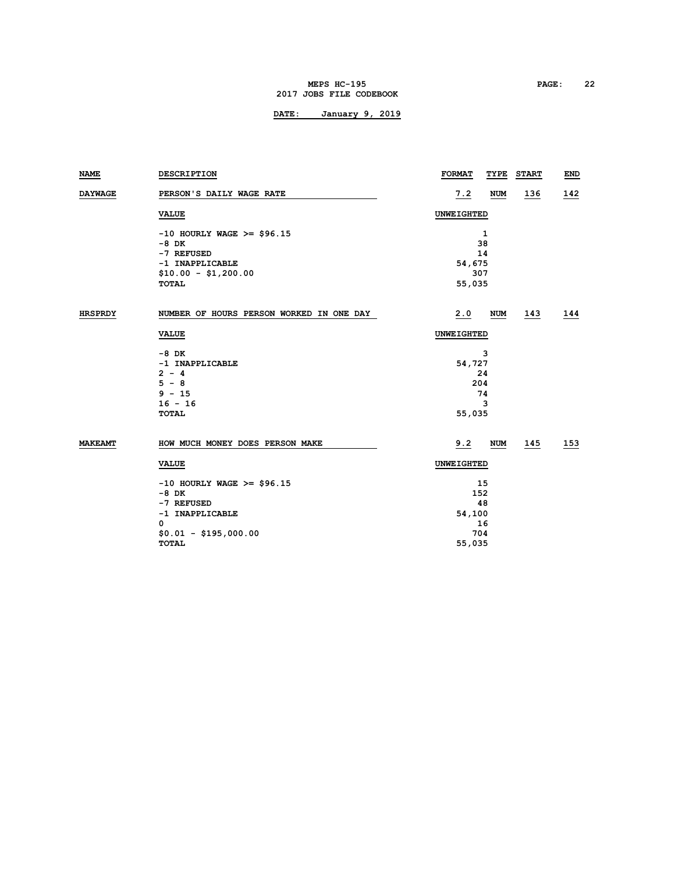#### **MEPS HC-195 PAGE: 22 2017 JOBS FILE CODEBOOK**

| <b>NAME</b>    | DESCRIPTION                              | <b>FORMAT</b>     | TYPE       | <b>START</b> | END        |
|----------------|------------------------------------------|-------------------|------------|--------------|------------|
| <b>DAYWAGE</b> | PERSON'S DAILY WAGE RATE                 | 7.2               | <b>NUM</b> | <u>136</u>   | 142        |
|                | <b>VALUE</b>                             | <b>UNWEIGHTED</b> |            |              |            |
|                | $-10$ HOURLY WAGE >= \$96.15             |                   | 1          |              |            |
|                | -8 DK                                    |                   | 38         |              |            |
|                | -7 REFUSED                               |                   | 14         |              |            |
|                | -1 INAPPLICABLE                          | 54,675            |            |              |            |
|                | $$10.00 - $1,200.00$                     |                   | 307        |              |            |
|                | <b>TOTAL</b>                             | 55,035            |            |              |            |
| <b>HRSPRDY</b> | NUMBER OF HOURS PERSON WORKED IN ONE DAY | 2.0               | <b>NUM</b> | 143          | 144        |
|                | <b>VALUE</b>                             | UNWEIGHTED        |            |              |            |
|                | -8 DK                                    | 3                 |            |              |            |
|                | -1 INAPPLICABLE                          | 54,727            |            |              |            |
|                | $2 - 4$                                  | 24                |            |              |            |
|                | $5 - 8$                                  |                   | 204        |              |            |
|                | $9 - 15$                                 |                   | 74         |              |            |
|                | $16 - 16$                                | 3                 |            |              |            |
|                | <b>TOTAL</b>                             | 55,035            |            |              |            |
| <b>MAKEAMT</b> | HOW MUCH MONEY DOES PERSON MAKE          | 9.2               | NUM        | <u> 145</u>  | <u>153</u> |
|                | <b>VALUE</b>                             | UNWEIGHTED        |            |              |            |
|                | $-10$ HOURLY WAGE >= \$96.15             | 15                |            |              |            |
|                | $-8$ DK                                  | 152               |            |              |            |
|                | -7 REFUSED                               | 48                |            |              |            |
|                | -1 INAPPLICABLE                          | 54,100            |            |              |            |
|                | 0                                        |                   | 16         |              |            |
|                | $$0.01 - $195,000.00$                    |                   | 704        |              |            |
|                | <b>TOTAL</b>                             | 55,035            |            |              |            |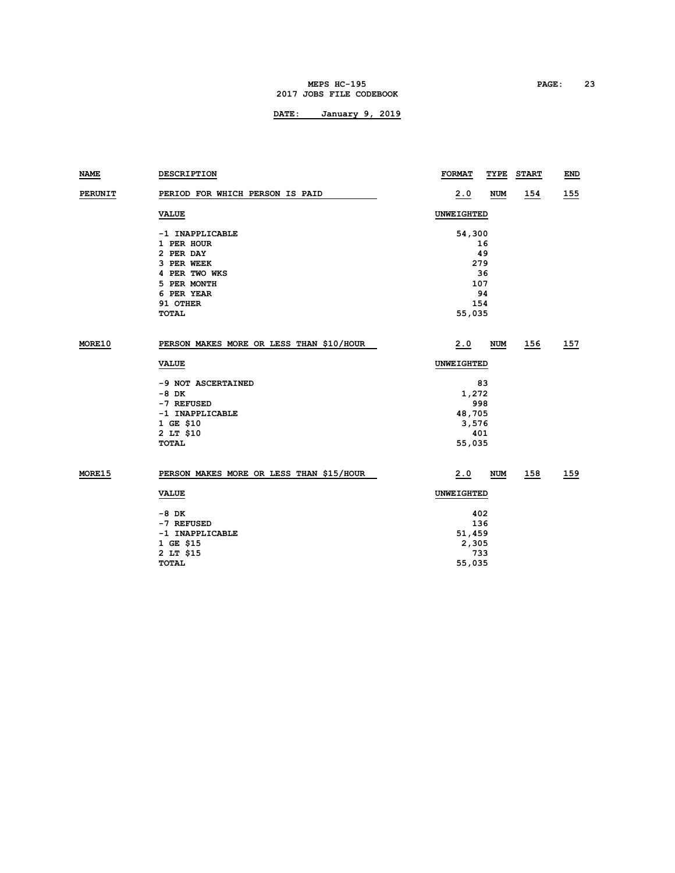### **MEPS HC-195 PAGE: 23 2017 JOBS FILE CODEBOOK**

| NAME          | <b>DESCRIPTION</b>                       | <b>FORMAT</b> | TYPE       | <b>START</b> | <b>END</b> |
|---------------|------------------------------------------|---------------|------------|--------------|------------|
| PERUNIT       | PERIOD FOR WHICH PERSON IS PAID          | 2.0           | <b>NUM</b> | <u>154</u>   | <u>155</u> |
|               | <b>VALUE</b>                             | UNWEIGHTED    |            |              |            |
|               | -1 INAPPLICABLE                          | 54,300        |            |              |            |
|               | 1 PER HOUR                               |               | 16         |              |            |
|               | 2 PER DAY                                |               | 49         |              |            |
|               | 3 PER WEEK                               |               | 279        |              |            |
|               | 4 PER TWO WKS                            |               | 36         |              |            |
|               | 5 PER MONTH                              |               | 107        |              |            |
|               | 6 PER YEAR                               |               | 94         |              |            |
|               | 91 OTHER                                 |               | 154        |              |            |
|               | <b>TOTAL</b>                             | 55,035        |            |              |            |
|               |                                          |               |            |              |            |
| <b>MORE10</b> | PERSON MAKES MORE OR LESS THAN \$10/HOUR | 2.0           | NUM        | 156          | 157        |
|               | <b>VALUE</b>                             | UNWEIGHTED    |            |              |            |
|               | -9 NOT ASCERTAINED                       |               | 83         |              |            |
|               | $-8$ DK                                  | 1,272         |            |              |            |
|               | -7 REFUSED                               |               | 998        |              |            |
|               | -1 INAPPLICABLE                          | 48,705        |            |              |            |
|               | 1 GE \$10                                | 3,576         |            |              |            |
|               | 2 LT \$10                                |               | 401        |              |            |
|               | TOTAL                                    | 55,035        |            |              |            |
|               |                                          |               |            |              |            |
| <b>MORE15</b> | PERSON MAKES MORE OR LESS THAN \$15/HOUR | 2.0           | <b>NUM</b> | 158          | 159        |
|               | <b>VALUE</b>                             | UNWEIGHTED    |            |              |            |
|               | -8 DK                                    |               | 402        |              |            |
|               | -7 REFUSED                               |               | 136        |              |            |
|               | -1 INAPPLICABLE                          | 51,459        |            |              |            |
|               | 1 GE \$15                                | 2,305         |            |              |            |
|               | 2 LT \$15                                |               | 733        |              |            |
|               | TOTAL                                    | 55,035        |            |              |            |
|               |                                          |               |            |              |            |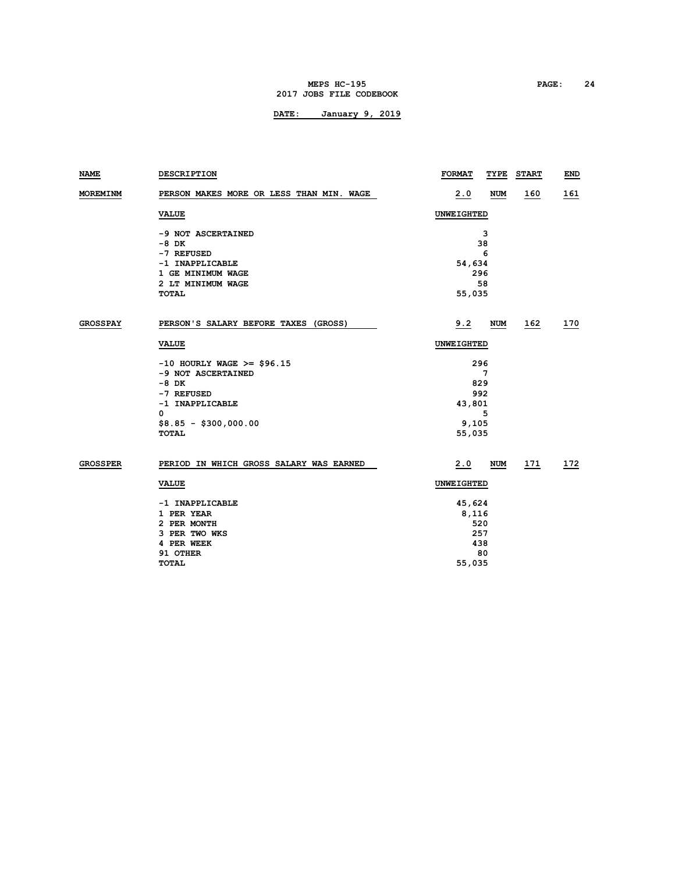### **MEPS HC-195 PAGE: 24 2017 JOBS FILE CODEBOOK**

| NAME            | <b>DESCRIPTION</b>                       | <b>FORMAT</b> | TYPE       | <b>START</b> | <b>END</b>  |
|-----------------|------------------------------------------|---------------|------------|--------------|-------------|
| <b>MOREMINM</b> | PERSON MAKES MORE OR LESS THAN MIN. WAGE | 2.0           | <b>NUM</b> | <u>160</u>   | <u> 161</u> |
|                 | <b>VALUE</b>                             | UNWEIGHTED    |            |              |             |
|                 | -9 NOT ASCERTAINED                       |               | 3          |              |             |
|                 | $-8$ DK                                  |               | 38         |              |             |
|                 | -7 REFUSED                               |               | 6          |              |             |
|                 | -1 INAPPLICABLE                          | 54,634        |            |              |             |
|                 | 1 GE MINIMUM WAGE                        |               | 296        |              |             |
|                 | 2 LT MINIMUM WAGE                        |               | 58         |              |             |
|                 | <b>TOTAL</b>                             | 55,035        |            |              |             |
| GROSSPAY        | PERSON'S SALARY BEFORE TAXES (GROSS)     | 9.2           | <b>NUM</b> | 162          | 170         |
|                 |                                          |               |            |              |             |
|                 | <b>VALUE</b>                             | UNWEIGHTED    |            |              |             |
|                 | $-10$ HOURLY WAGE >= \$96.15             |               | 296        |              |             |
|                 | -9 NOT ASCERTAINED                       |               | 7          |              |             |
|                 | $-8$ DK                                  |               | 829        |              |             |
|                 | -7 REFUSED                               |               | 992        |              |             |
|                 | -1 INAPPLICABLE                          | 43,801        |            |              |             |
|                 | 0                                        |               | 5          |              |             |
|                 | $$8.85 - $300,000.00$                    | 9,105         |            |              |             |
|                 | <b>TOTAL</b>                             | 55,035        |            |              |             |
| <b>GROSSPER</b> | PERIOD IN WHICH GROSS SALARY WAS EARNED  | 2.0           | <b>NUM</b> | 171          | 172         |
|                 | <b>VALUE</b>                             | UNWEIGHTED    |            |              |             |
|                 | -1 INAPPLICABLE                          | 45,624        |            |              |             |
|                 | 1 PER YEAR                               | 8,116         |            |              |             |
|                 | 2 PER MONTH                              |               | 520        |              |             |
|                 | 3 PER TWO WKS                            |               | 257        |              |             |
|                 | 4 PER WEEK                               |               | 438        |              |             |
|                 | 91 OTHER                                 |               | 80         |              |             |
|                 | TOTAL                                    | 55,035        |            |              |             |
|                 |                                          |               |            |              |             |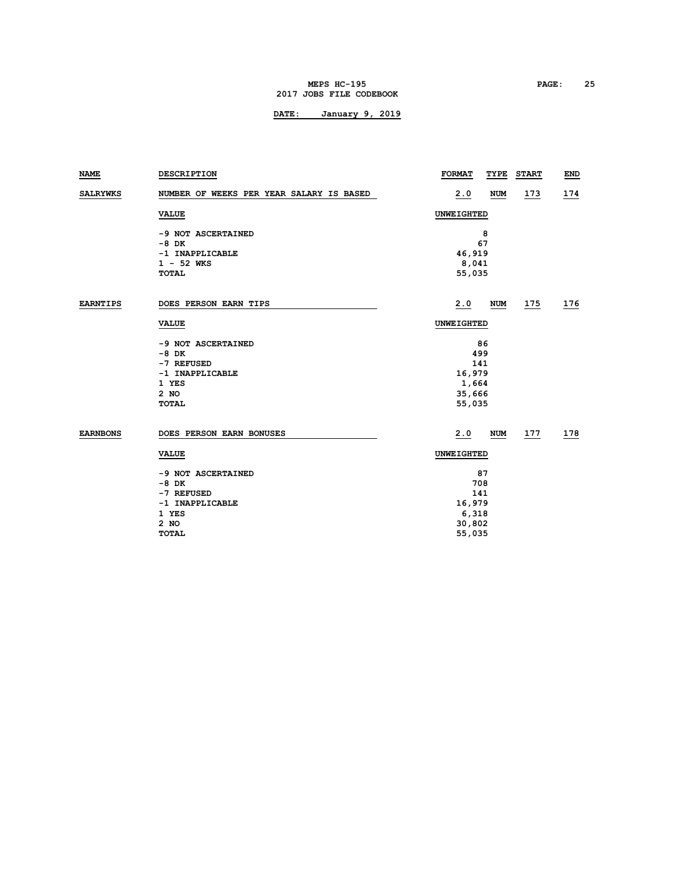#### **MEPS HC-195 PAGE: 25 2017 JOBS FILE CODEBOOK**

| <b>NAME</b>     | <b>DESCRIPTION</b>                       | <b>FORMAT</b>     | TYPE              | <b>START</b> | <b>END</b> |  |  |
|-----------------|------------------------------------------|-------------------|-------------------|--------------|------------|--|--|
| <b>SALRYWKS</b> | NUMBER OF WEEKS PER YEAR SALARY IS BASED | 2.0               | <b>NUM</b>        | <u>173</u>   | <u>174</u> |  |  |
|                 | <b>VALUE</b>                             |                   | <b>UNWEIGHTED</b> |              |            |  |  |
|                 | -9 NOT ASCERTAINED                       |                   | 8                 |              |            |  |  |
|                 | $-8$ DK                                  |                   | 67                |              |            |  |  |
|                 | -1 INAPPLICABLE                          |                   | 46,919            |              |            |  |  |
|                 | $1 - 52$ WKS                             | 8,041             |                   |              |            |  |  |
|                 | <b>TOTAL</b>                             |                   | 55,035            |              |            |  |  |
| <b>EARNTIPS</b> | DOES PERSON EARN TIPS                    | 2.0               | <b>NUM</b>        | 175          | 176        |  |  |
|                 | <b>VALUE</b>                             | <b>UNWEIGHTED</b> |                   |              |            |  |  |
|                 | -9 NOT ASCERTAINED                       |                   | 86                |              |            |  |  |
|                 | $-8$ DK                                  |                   | 499               |              |            |  |  |
|                 | -7 REFUSED                               |                   | 141               |              |            |  |  |
|                 | -1 INAPPLICABLE                          |                   | 16,979            |              |            |  |  |
|                 | 1 YES                                    |                   | 1,664             |              |            |  |  |
|                 | 2 NO                                     |                   | 35,666            |              |            |  |  |
|                 | TOTAL                                    | 55,035            |                   |              |            |  |  |
| <b>EARNBONS</b> | DOES PERSON EARN BONUSES                 | 2.0               | <b>NUM</b>        | 177          | 178        |  |  |
|                 | <b>VALUE</b>                             |                   | UNWEIGHTED        |              |            |  |  |
|                 | -9 NOT ASCERTAINED                       | 87                |                   |              |            |  |  |
|                 | $-8$ DK                                  |                   | 708               |              |            |  |  |
|                 | -7 REFUSED                               |                   | 141               |              |            |  |  |
|                 | -1 INAPPLICABLE                          |                   | 16,979            |              |            |  |  |
|                 | 1 YES                                    |                   | 6,318             |              |            |  |  |
|                 | 2 NO                                     | 30,802            |                   |              |            |  |  |
|                 | <b>TOTAL</b>                             | 55,035            |                   |              |            |  |  |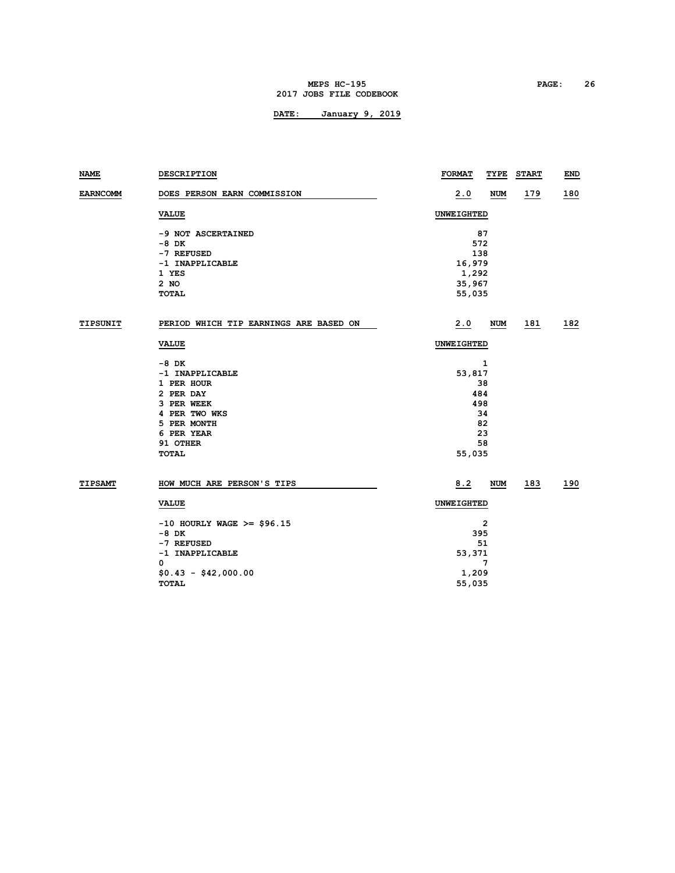#### **MEPS HC-195 PAGE: 26 2017 JOBS FILE CODEBOOK**

| NAME            | DESCRIPTION                                                                                                                                 | <b>FORMAT</b>                                           | TYPE                            | <b>START</b> | END        |  |  |
|-----------------|---------------------------------------------------------------------------------------------------------------------------------------------|---------------------------------------------------------|---------------------------------|--------------|------------|--|--|
| <b>EARNCOMM</b> | DOES PERSON EARN COMMISSION                                                                                                                 | <u>2.0</u>                                              | NUM                             | <u>179</u>   | 180        |  |  |
|                 | <b>VALUE</b>                                                                                                                                | UNWEIGHTED                                              |                                 |              |            |  |  |
|                 | -9 NOT ASCERTAINED<br>-8 DK<br>-7 REFUSED<br>-1 INAPPLICABLE<br>1 YES<br>2 NO<br><b>TOTAL</b>                                               | 87<br>572<br>138<br>16,979<br>1,292<br>35,967<br>55,035 |                                 |              |            |  |  |
| TIPSUNIT        | PERIOD WHICH TIP EARNINGS ARE BASED ON                                                                                                      | 2.0                                                     | <b>NUM</b>                      | 181          | <u>182</u> |  |  |
|                 | <b>VALUE</b>                                                                                                                                | UNWEIGHTED                                              |                                 |              |            |  |  |
|                 | -8 DK<br>-1 INAPPLICABLE<br>1 PER HOUR<br>2 PER DAY<br>3 PER WEEK<br>4 PER TWO WKS<br>5 PER MONTH<br>6 PER YEAR<br>91 OTHER<br><b>TOTAL</b> | 53,817<br>484<br>498<br>55,035                          | 1<br>38<br>34<br>82<br>23<br>58 |              |            |  |  |
| <b>TIPSAMT</b>  | HOW MUCH ARE PERSON'S TIPS                                                                                                                  | 8.2                                                     | NUM                             | 183          | 190        |  |  |
|                 | <b>VALUE</b>                                                                                                                                | UNWEIGHTED                                              |                                 |              |            |  |  |
|                 | $-10$ HOURLY WAGE >= \$96.15<br>$-8$ DK<br>-7 REFUSED<br>-1 INAPPLICABLE<br>0<br>$$0.43 - $42,000.00$<br><b>TOTAL</b>                       | 2<br>395<br>51<br>53,371<br>7<br>1,209<br>55,035        |                                 |              |            |  |  |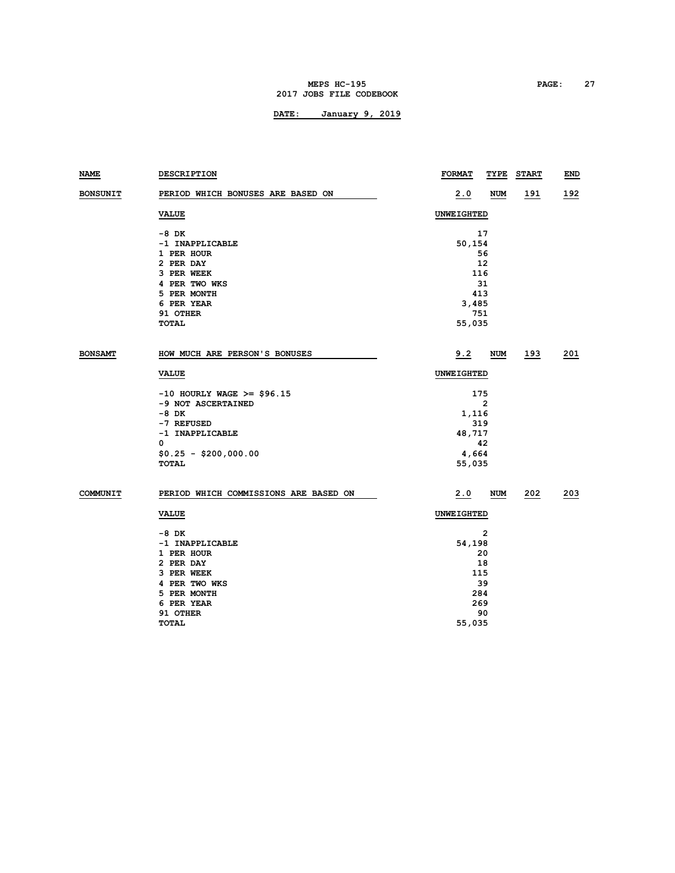#### **MEPS HC-195 PAGE: 27 2017 JOBS FILE CODEBOOK**

| <b>NAME</b>     | <b>DESCRIPTION</b>                    | <b>FORMAT</b>     | <u>TYPE</u> | <b>START</b> | <b>END</b>  |  |
|-----------------|---------------------------------------|-------------------|-------------|--------------|-------------|--|
| <b>BONSUNIT</b> | PERIOD WHICH BONUSES ARE BASED ON     | <u>2.0</u>        | NUM         | <u>191</u>   | <u>192</u>  |  |
|                 | <b>VALUE</b>                          | <b>UNWEIGHTED</b> |             |              |             |  |
|                 | -8 DK                                 |                   | 17          |              |             |  |
|                 | -1 INAPPLICABLE                       |                   | 50,154      |              |             |  |
|                 | 1 PER HOUR                            | 56                |             |              |             |  |
|                 | 2 PER DAY                             | 12                |             |              |             |  |
|                 | 3 PER WEEK                            | 116               |             |              |             |  |
|                 | 4 PER TWO WKS                         | 31                |             |              |             |  |
|                 | 5 PER MONTH                           | 413               |             |              |             |  |
|                 | 6 PER YEAR                            | 3,485             |             |              |             |  |
|                 | 91 OTHER                              | 751               |             |              |             |  |
|                 | <b>TOTAL</b>                          | 55,035            |             |              |             |  |
| <b>BONSAMT</b>  | HOW MUCH ARE PERSON'S BONUSES         | 9.2               | NUM         | <u>193</u>   | <u> 201</u> |  |
|                 | <b>VALUE</b>                          | UNWEIGHTED        |             |              |             |  |
|                 | $-10$ HOURLY WAGE >= \$96.15          | 175               |             |              |             |  |
|                 | -9 NOT ASCERTAINED                    |                   | 2           |              |             |  |
|                 | -8 DK                                 | 1,116             |             |              |             |  |
|                 | -7 REFUSED                            | 319               |             |              |             |  |
|                 | -1 INAPPLICABLE                       |                   | 48,717      |              |             |  |
|                 | $\mathbf 0$                           | 42                |             |              |             |  |
|                 | $$0.25 - $200,000.00$                 | 4,664             |             |              |             |  |
|                 | TOTAL                                 |                   | 55,035      |              |             |  |
| COMMUNIT        | PERIOD WHICH COMMISSIONS ARE BASED ON | 2.0               | NUM         | 202          | 203         |  |
|                 | <b>VALUE</b>                          | <b>UNWEIGHTED</b> |             |              |             |  |
|                 | -8 DK                                 |                   | 2           |              |             |  |
|                 | -1 INAPPLICABLE                       |                   | 54,198      |              |             |  |
|                 | 1 PER HOUR                            |                   | 20          |              |             |  |
|                 | 2 PER DAY                             | 18                |             |              |             |  |
|                 | 3 PER WEEK                            |                   | 115         |              |             |  |
|                 | 4 PER TWO WKS                         | 39                |             |              |             |  |
|                 | 5 PER MONTH                           | 284               |             |              |             |  |
|                 | 6 PER YEAR                            | 269               |             |              |             |  |
|                 | 91 OTHER                              |                   | 90          |              |             |  |
|                 | <b>TOTAL</b>                          | 55,035            |             |              |             |  |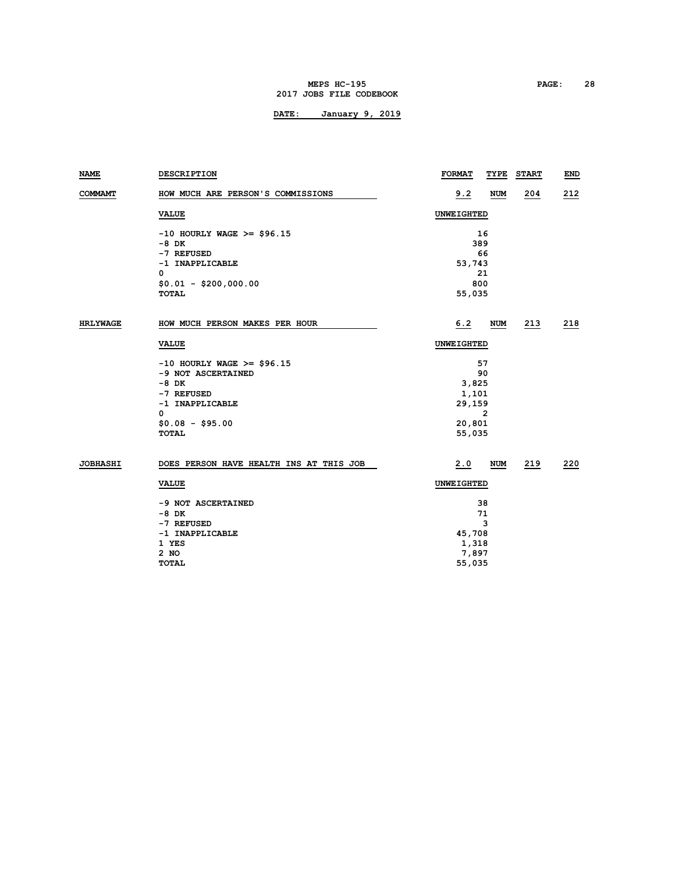#### **MEPS HC-195 PAGE: 28 2017 JOBS FILE CODEBOOK**

| COMMAMT<br>HOW MUCH ARE PERSON'S COMMISSIONS               | 9.2               | <b>NUM</b> | 204 | 212 |  |
|------------------------------------------------------------|-------------------|------------|-----|-----|--|
| <b>VALUE</b>                                               | UNWEIGHTED        |            |     |     |  |
| $-10$ HOURLY WAGE >= \$96.15                               |                   | 16         |     |     |  |
| $-8$ DK                                                    | 389               |            |     |     |  |
| -7 REFUSED                                                 | 66                |            |     |     |  |
| -1 INAPPLICABLE                                            | 53,743            |            |     |     |  |
| 0                                                          | 21                |            |     |     |  |
| $$0.01 - $200,000.00$                                      |                   | 800        |     |     |  |
| <b>TOTAL</b>                                               | 55,035            |            |     |     |  |
| HOW MUCH PERSON MAKES PER HOUR<br><b>HRLYWAGE</b>          | 6.2               | <b>NUM</b> | 213 | 218 |  |
| <b>VALUE</b>                                               | <b>UNWEIGHTED</b> |            |     |     |  |
| $-10$ HOURLY WAGE >= \$96.15                               | 57                |            |     |     |  |
| -9 NOT ASCERTAINED                                         | 90                |            |     |     |  |
| $-8$ DK                                                    | 3,825             |            |     |     |  |
| -7 REFUSED                                                 | 1,101             |            |     |     |  |
| -1 INAPPLICABLE                                            | 29,159            |            |     |     |  |
| 0                                                          | 2                 |            |     |     |  |
| $$0.08 - $95.00$                                           | 20,801            |            |     |     |  |
| TOTAL                                                      | 55,035            |            |     |     |  |
| <b>JOBHASHI</b><br>DOES PERSON HAVE HEALTH INS AT THIS JOB | 2.0               | NUM        | 219 | 220 |  |
| <b>VALUE</b>                                               | UNWEIGHTED        |            |     |     |  |
| -9 NOT ASCERTAINED                                         | 38                |            |     |     |  |
| $-8$ DK                                                    | 71                |            |     |     |  |
| -7 REFUSED                                                 | 3                 |            |     |     |  |
| -1 INAPPLICABLE                                            | 45,708            |            |     |     |  |
| 1 YES                                                      | 1,318             |            |     |     |  |
| 2 NO                                                       | 7,897             |            |     |     |  |
| <b>TOTAL</b>                                               | 55,035            |            |     |     |  |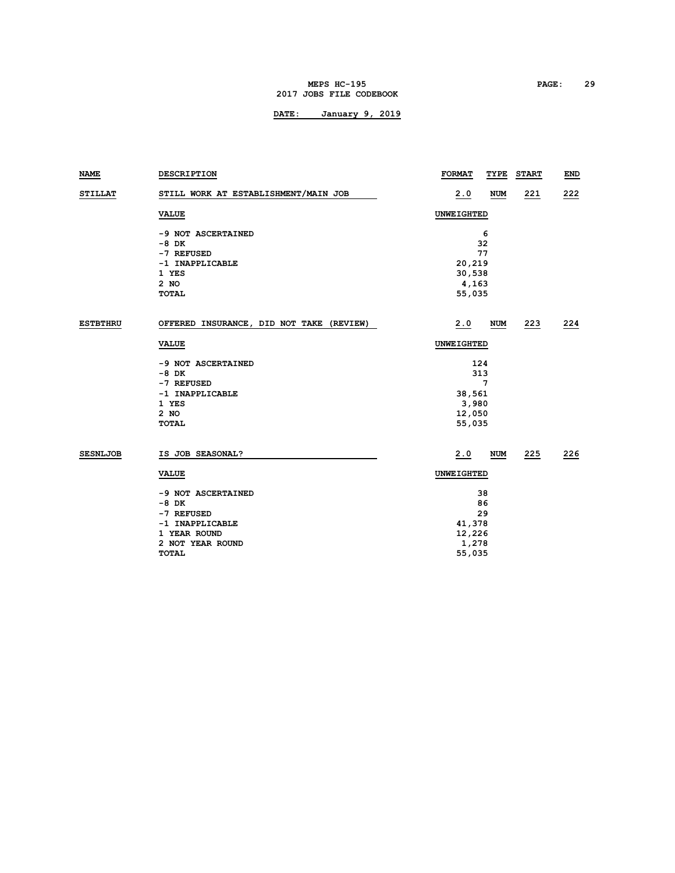#### **MEPS HC-195 PAGE: 29 2017 JOBS FILE CODEBOOK**

| NAME            | <b>DESCRIPTION</b>                       | <b>FORMAT</b> | TYPE       | <b>START</b> | END |  |
|-----------------|------------------------------------------|---------------|------------|--------------|-----|--|
| <b>STILLAT</b>  | STILL WORK AT ESTABLISHMENT/MAIN JOB     | 2.0           | <b>NUM</b> | 221          | 222 |  |
|                 | <b>VALUE</b>                             | UNWEIGHTED    |            |              |     |  |
|                 | -9 NOT ASCERTAINED                       |               | 6          |              |     |  |
|                 | -8 DK                                    |               | 32         |              |     |  |
|                 | -7 REFUSED                               | 77            |            |              |     |  |
|                 | -1 INAPPLICABLE                          | 20,219        |            |              |     |  |
|                 | 1 YES                                    | 30,538        |            |              |     |  |
|                 | $2$ NO                                   | 4,163         |            |              |     |  |
|                 | <b>TOTAL</b>                             | 55,035        |            |              |     |  |
| <b>ESTBTHRU</b> | OFFERED INSURANCE, DID NOT TAKE (REVIEW) | 2.0           | <b>NUM</b> | 223          | 224 |  |
|                 | <b>VALUE</b>                             | UNWEIGHTED    |            |              |     |  |
|                 | -9 NOT ASCERTAINED                       |               | 124        |              |     |  |
|                 | $-8$ DK                                  | 313           |            |              |     |  |
|                 | -7 REFUSED                               | 7             |            |              |     |  |
|                 | -1 INAPPLICABLE                          | 38,561        |            |              |     |  |
|                 | 1 YES                                    | 3,980         |            |              |     |  |
|                 | $2$ NO                                   | 12,050        |            |              |     |  |
|                 | <b>TOTAL</b>                             | 55,035        |            |              |     |  |
|                 |                                          |               |            |              |     |  |
| <b>SESNLJOB</b> | IS JOB SEASONAL?                         | 2.0           | <b>NUM</b> | 225          | 226 |  |
|                 | <b>VALUE</b>                             | UNWEIGHTED    |            |              |     |  |
|                 | -9 NOT ASCERTAINED                       |               | 38         |              |     |  |
|                 | $-8$ DK                                  | 86            |            |              |     |  |
|                 | -7 REFUSED                               | 29            |            |              |     |  |
|                 | -1 INAPPLICABLE                          | 41,378        |            |              |     |  |
|                 | 1 YEAR ROUND                             | 12,226        |            |              |     |  |
|                 | 2 NOT YEAR ROUND                         | 1,278         |            |              |     |  |
|                 | <b>TOTAL</b>                             | 55,035        |            |              |     |  |
|                 |                                          |               |            |              |     |  |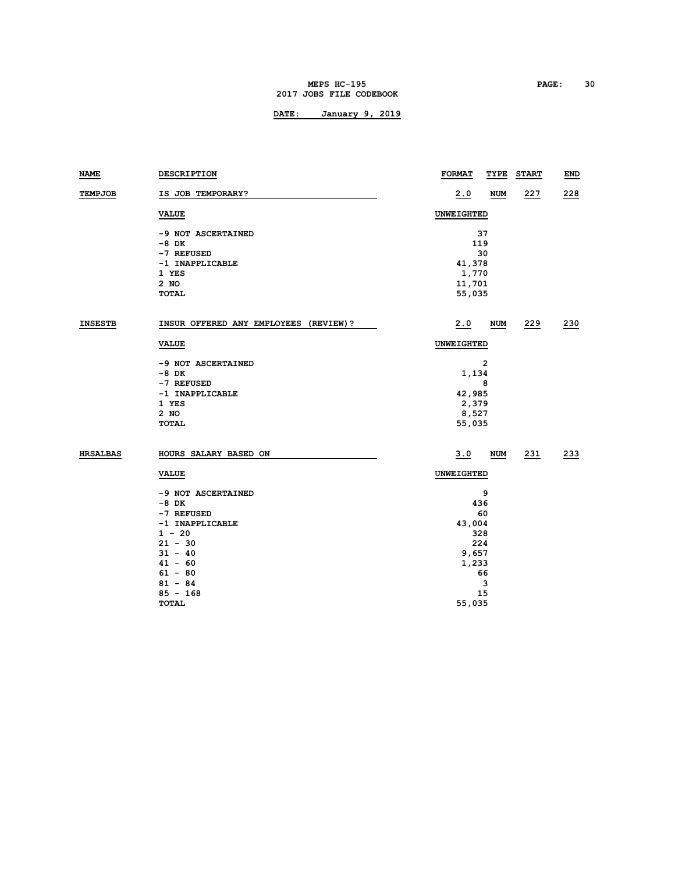#### **MEPS HC-195 PAGE: 30 2017 JOBS FILE CODEBOOK**

| <b>NAME</b>     | DESCRIPTION                           | <b>FORMAT</b>     | TYPE       | <b>START</b> | END |  |  |
|-----------------|---------------------------------------|-------------------|------------|--------------|-----|--|--|
| <b>TEMPJOB</b>  | IS JOB TEMPORARY?                     | <u>2.0</u>        | <b>NUM</b> | 227          | 228 |  |  |
|                 | <b>VALUE</b>                          | UNWEIGHTED        |            |              |     |  |  |
|                 | -9 NOT ASCERTAINED                    |                   | 37         |              |     |  |  |
|                 | -8 DK                                 | 119               |            |              |     |  |  |
|                 | -7 REFUSED                            | 30                |            |              |     |  |  |
|                 | -1 INAPPLICABLE                       | 41,378            |            |              |     |  |  |
|                 | 1 YES                                 | 1,770             |            |              |     |  |  |
|                 | 2 NO<br><b>TOTAL</b>                  | 11,701<br>55,035  |            |              |     |  |  |
|                 |                                       |                   |            |              |     |  |  |
| <b>INSESTB</b>  | INSUR OFFERED ANY EMPLOYEES (REVIEW)? | 2.0               | NUM        | 229          | 230 |  |  |
|                 | <b>VALUE</b>                          | <b>UNWEIGHTED</b> |            |              |     |  |  |
|                 | -9 NOT ASCERTAINED                    |                   | 2          |              |     |  |  |
|                 | -8 DK                                 | 1,134             |            |              |     |  |  |
|                 | -7 REFUSED                            |                   | 8          |              |     |  |  |
|                 | -1 INAPPLICABLE                       | 42,985            |            |              |     |  |  |
|                 | 1 YES                                 | 2,379             |            |              |     |  |  |
|                 | 2 NO                                  | 8,527             |            |              |     |  |  |
|                 | <b>TOTAL</b>                          | 55,035            |            |              |     |  |  |
| <b>HRSALBAS</b> | HOURS SALARY BASED ON                 | 3.0               | <b>NUM</b> | 231          | 233 |  |  |
|                 | <b>VALUE</b>                          | <b>UNWEIGHTED</b> |            |              |     |  |  |
|                 | -9 NOT ASCERTAINED                    |                   | 9          |              |     |  |  |
|                 | -8 DK                                 |                   | 436        |              |     |  |  |
|                 | -7 REFUSED                            |                   | 60         |              |     |  |  |
|                 | -1 INAPPLICABLE                       | 43,004            |            |              |     |  |  |
|                 | $1 - 20$                              | 328               |            |              |     |  |  |
|                 | $21 - 30$                             | 224               |            |              |     |  |  |
|                 | $31 - 40$                             | 9,657             |            |              |     |  |  |
|                 | $41 - 60$                             | 1,233             |            |              |     |  |  |
|                 | $61 - 80$                             |                   | 66         |              |     |  |  |
|                 | $81 - 84$                             |                   | 3          |              |     |  |  |
|                 | $85 - 168$                            |                   | 15         |              |     |  |  |
|                 | <b>TOTAL</b>                          | 55,035            |            |              |     |  |  |